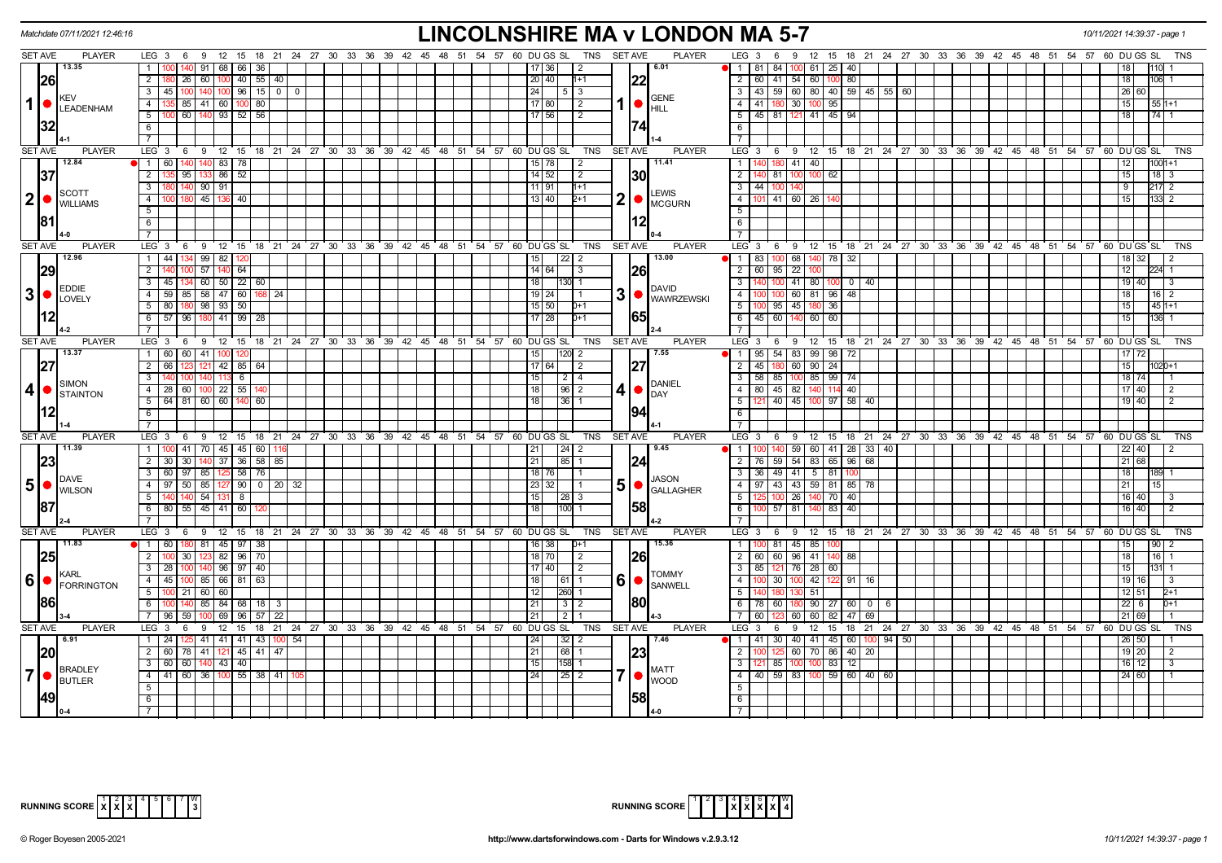|                 | Matchdate 07/11/2021 12:46:16      |                                                                                                           | <b>LINCOLNSHIRE MA v LONDON MA 5-7</b>                                |                                                                                | 10/11/2021 14:39:37 - page 1          |
|-----------------|------------------------------------|-----------------------------------------------------------------------------------------------------------|-----------------------------------------------------------------------|--------------------------------------------------------------------------------|---------------------------------------|
|                 | <b>SET AVE</b><br><b>PLAYER</b>    | LEG 3 6 9 12 15 18 21 24 27 30 33 36 39 42 45 48 51 54 57 60 DUGS SL                                      | TNS SET AVE<br>PLAYER                                                 | LEG 3 6 9 12 15 18 21 24 27 30 33 36 39 42 45 48 51 54 57 60 DUGS SL           | TNS                                   |
|                 | 13.35                              | 140 91<br>68   66  <br>36<br>$\overline{1}$                                                               | 6.01<br> 17 36 <br>$\sqrt{2}$                                         | $\bullet$   1   81   84   100   61   25   40                                   |                                       |
|                 | 26                                 | 26   60   100   40   55   40  <br>$\overline{2}$                                                          | 20 40 <br>22<br>$1 + 1$                                               | 2 60 41 54 60<br>100 80                                                        | 18<br>106 1                           |
|                 | KEV                                | $3   45   100   140   100   96   15   00$                                                                 | 24 <br> 5 3<br><b>GENE</b>                                            |                                                                                | 26 60                                 |
| $1$ $\bullet$   | <b>LEADENHAM</b>                   | 135 85 41 60 100 80<br>$\overline{4}$                                                                     | $\lceil 17 \rceil 80 \rceil$<br>  2<br>$\bullet$ $_{\rm HILL}$        | 4   41   180   30   100   95                                                   | 15<br>$551+1$                         |
|                 |                                    | $5 \mid 100 \mid 60 \mid 140 \mid 93 \mid 52 \mid 56$                                                     | 17 56 <br>$\overline{2}$                                              | $5$   45   81   121   41   45   94                                             | $\overline{174}$ 1<br>$\overline{18}$ |
|                 | 32                                 | 6                                                                                                         |                                                                       | 6                                                                              |                                       |
|                 |                                    |                                                                                                           |                                                                       |                                                                                |                                       |
|                 | <b>SET AVE</b><br><b>PLAYER</b>    | LEG <sub>3</sub><br>6 9 12 15 18 21 24 27 30 33 36 39 42 45 48 51 54 57 60 DUGS SL                        | TNS<br>SET AVE<br><b>PLAYER</b>                                       | LEG 3 6 9 12 15 18 21 24 27 30 33 36 39 42 45 48 51 54 57 60 DUGS SL           | <b>TNS</b>                            |
|                 | 12.84                              | 60 140 140 83 78<br>$\overline{1}$                                                                        | 11.41<br> 15 78 <br>$\sqrt{2}$                                        | 1<br>40 180 41 40                                                              | $1001 + 1$<br>12                      |
|                 | 37                                 | $\frac{1}{5}$ 95 133 86 52<br>$\overline{2}$                                                              | 14 52<br>30<br>$\sqrt{2}$                                             | $\overline{2}$<br>81<br>62<br>$100 - 100$                                      | 15                                    |
|                 |                                    | 180 140 90 91<br>$\overline{3}$                                                                           | 11 91<br>$h+1$                                                        | 3   44   100<br>140                                                            | 9<br>$217$ 2                          |
| $ 2  \bullet$   | <b>SCOTT</b>                       | 4<br>100 180 45 136 40                                                                                    | <b>LEWIS</b><br>2  <sub>o</sub><br>13 40<br>$2+1$                     | 4<br>101 41 60 26                                                              | 15<br>133 2                           |
|                 | <b>WILLIAMS</b>                    | 5                                                                                                         | <b>MCGURN</b>                                                         | 5                                                                              |                                       |
|                 | 181                                | 6                                                                                                         | 12                                                                    | 6                                                                              |                                       |
|                 |                                    | $\overline{7}$                                                                                            |                                                                       | $\overline{7}$                                                                 |                                       |
|                 | SET AVE<br><b>PLAYER</b>           | $12 \quad 15$<br>18 21 24 27<br>30 33 36<br>39 42 45 48 51 54 57 60 DUGS SL<br>LEG <sub>3</sub><br>9<br>6 | <b>TNS</b><br><b>SET AVE</b><br><b>PLAYER</b>                         | LEG 3<br>9 12 15 18 21 24 27 30 33 36 39 42 45 48 51 54 57 60 DUGS SL<br>6     | <b>TNS</b>                            |
|                 | 12.96                              | 1 44 134 99 82 120                                                                                        | 13.00<br>$22$   2<br>15                                               | 1 1 83 100 68 140 78 32                                                        | 18 32<br>$\overline{2}$               |
|                 | 29                                 | $\overline{2}$<br>00 57 140 64<br>140                                                                     | 26<br>  14   64  <br>3                                                | 2 60 95 22                                                                     | 12<br>$224 - 1$                       |
|                 |                                    | $134$ 60 50 22 60<br>3<br>45                                                                              | 18<br>130                                                             | 3<br>41 80<br>100<br>$0 \mid 40$                                               | $19$ 40<br>3                          |
| $3$ $\bullet$   | EDDIE                              | $59 \mid 85 \mid 58 \mid 47 \mid 60$<br>$\overline{4}$<br>168 24                                          | <b>DAVID</b><br>$3 \nvert \bullet \vert_{\text{WAWRZEWSKI}}$<br>19 24 | $\overline{4}$<br>60 81 96 48                                                  | 18<br>$16 \mid 2$                     |
|                 | <b>LOVELY</b>                      | 80 180 98 93 50<br>5 <sup>1</sup>                                                                         | 15 50 <br>$D+1$                                                       | 5 <sub>1</sub><br>$95$   45   180<br>36                                        | 15<br>$451+1$                         |
|                 |                                    | 57 96 180 41 99<br>28<br>- 6 I                                                                            | 17 28<br>$D+1$                                                        | 6 45 60 140 60<br>60                                                           | 15<br>136                             |
|                 |                                    |                                                                                                           |                                                                       | $\overline{7}$                                                                 |                                       |
|                 | <b>SET AVE</b><br><b>PLAYER</b>    | LEG 3 6 9 12 15 18 21 24 27 30 33 36 39 42 45 48 51 54 57 60 DUGS SL                                      | <b>PLAYER</b><br>TNS<br><b>SET AVE</b>                                | LEG 3<br>9 12 15 18 21 24 27 30 33 36 39 42 45 48 51 54 57 60 DUGSSL<br>6      | <b>TNS</b>                            |
|                 | 13.37                              | $\overline{1}$<br>60 60 41                                                                                | 7.55<br>l 15 l<br>120                                                 | $1 \mid 95 \mid$<br>54 83 99<br>98<br>72                                       |                                       |
|                 | 27                                 | $\overline{2}$<br>66 123 121 42 85<br>64                                                                  | 27<br>  17   64  <br>$\overline{2}$                                   | 2 45 180 60 90 24                                                              | 15 <sup>1</sup><br>020+1              |
|                 |                                    | $\overline{3}$<br>140<br>100<br>$113$ 6                                                                   | 15<br> 2 <br>$\vert$ 4                                                | 3   58   85   100   85   99   74                                               | 18 74                                 |
| 4               | <b>SIMON</b>                       | 28 60 100 22 55<br>$\overline{4}$                                                                         | <b>DANIEL</b><br> 18 <br>$96$   2<br>41                               | 4 80 45 82 140<br>114 40                                                       | $17 \ 40$<br>2                        |
|                 | STAINTON                           | $5$ 64 81 60 60 140<br>60                                                                                 | DAY<br>l 18 l<br>36 <sup>1</sup>                                      | 5   121   40   45   100   97   58   40                                         | $19$ 40<br>$\overline{2}$             |
|                 |                                    | 6                                                                                                         |                                                                       | 6                                                                              |                                       |
|                 |                                    |                                                                                                           |                                                                       |                                                                                |                                       |
|                 | <b>SET AVE</b><br><b>PLAYER</b>    | 6 9 12 15 18 21 24 27 30 33 36 39 42 45 48 51 54 57 60 DUGS SL<br>LEG <sub>3</sub>                        | <b>SET AVE</b><br><b>PLAYER</b><br><b>TNS</b>                         | $LEG$ 3<br>9 12 15 18 21 24 27 30 33 36 39 42 45 48 51 54 57 60 DUGS SL<br>6   | <b>TNS</b>                            |
|                 | 11.39                              | 1 100 41 70 45 45 60 116                                                                                  | 9.45<br>$\boxed{21}$                                                  | 1 100 140 59 60 41 28 33 40                                                    | 22 40<br>2                            |
|                 | 23                                 | $30 \mid 30 \mid$<br>37 36 58 85<br>$\overline{2}$<br>140                                                 | 21 <br>85<br>24                                                       | 2   76   59   54   83   65   96   68                                           | 21   68                               |
|                 |                                    | $\overline{\mathbf{3}}$<br>60   97   85   125   58   76                                                   | 18 76 <br>$\overline{1}$                                              | 3 36 49 41 5 81                                                                | 18<br>189 1                           |
| 5  <sub>•</sub> | DAVE<br><b>WILSON</b>              | 4   97   50   85   127   90   0   20   32                                                                 | JASON<br>5  <sub>o</sub><br>  23   32  <br><b>GALLAGHER</b>           | 4   97   43   43   59   81   85   78                                           | 21<br> 15                             |
|                 |                                    | 140 54 131 8<br>5 <sub>1</sub>                                                                            | l 15 l<br>  28   3                                                    | 26<br>$70 \mid 40$<br>- 5 I<br>100                                             | 16 40                                 |
|                 |                                    | 80 55 45 41 60<br>6                                                                                       | 58<br>  18  <br>100                                                   | 83   40<br>6<br>$100$ 57<br>81                                                 | 16 40<br>$\overline{2}$               |
|                 |                                    | $\overline{7}$                                                                                            |                                                                       |                                                                                |                                       |
|                 | <b>SET AVE</b><br><b>PLAYER</b>    | $LEG_36$<br>$9 \t12 \t15$<br>18 21 24 27 30 33 36 39 42 45 48 51 54 57 60 DUGS SL                         | <b>TNS</b><br><b>SET AVE</b><br><b>PLAYER</b>                         | $LEG$ 3<br>9 12 15 18 21 24 27 30 33 36 39 42 45 48 51 54 57 60 DUGSSL<br>6    | <b>TNS</b>                            |
|                 | 11.83                              | 1 60 180 81 45 97 38                                                                                      | 15.36<br>  16   38  <br>$D+1$                                         | $\overline{1}$<br>00 81 45 85<br>100                                           | 15<br>90<br>$\mathcal{P}$             |
|                 | 25                                 | 82   96  <br>$\overline{70}$<br>2 <sup>1</sup><br>100 30 123                                              | 26 <br>18 70 <br>l 2                                                  | 2 60 60 96 41<br>140 88                                                        | 18<br> 16                             |
|                 |                                    | $3$   28   100   140   96   97   40                                                                       | 17 40 1<br>$\overline{2}$                                             | 3 85 121 76 28 60                                                              | 15                                    |
| 6               | <b>KARL</b><br><b>O</b> FORRINGTON | 4 45 100 85 66 81<br>63                                                                                   | <b>TOMMY</b><br>$60$ Sanwell<br>l 18 l<br>61                          | $-4$<br>$100 - 42$<br>30 <sub>1</sub><br>122 I<br>91                           | 19 <sup>1</sup><br>16<br>-3           |
|                 |                                    | 5<br>100 21 60 60                                                                                         | 12<br>260                                                             | 5 <sup>5</sup><br>130 51                                                       | 12 51<br>$2+1$                        |
|                 | 1861                               | 85 84 68<br>6<br>140<br>$18$ 3                                                                            | <b>80</b><br>21<br>3                                                  | 78<br>60<br>180 90<br>$27 \ 60 \ 0$<br>6<br>6                                  | 22<br>6<br>$D+1$                      |
|                 |                                    | $57$   22<br>- 7 I<br>96 I<br>59<br>69   96                                                               | 21 <br>$\overline{2}$                                                 | 82<br>47   69<br>60<br>60 60                                                   | 21 69                                 |
|                 | <b>SET AVE</b><br><b>PLAYER</b>    | LEG <sub>3</sub><br>9 12 15 18 21 24 27 30 33 36 39 42 45 48 51 54 57 60 DUGS SL<br>6                     | <b>PLAYER</b><br>TNS<br><b>SET AVE</b>                                | $LEG \ 3$<br>9 12 15 18 21 24 27 30 33 36 39 42 45 48 51 54 57 60 DUGS SL<br>6 | TNS                                   |
|                 | 16.91                              | $1 \mid 24 \mid$<br>41<br>41   41   43   100   54                                                         | 32 <sub>1</sub><br>7.46<br> 24                                        | 1141<br>30<br>40 41 45 60 100 94 50                                            | 26 50                                 |
|                 | 20                                 | $\overline{2}$<br>41 121 45 41 47<br>60 78                                                                | 23<br>68<br> 21                                                       | 60 70 86 40 20<br>$\overline{2}$                                               | $19$ 20<br>2                          |
|                 |                                    | $\overline{\phantom{a}3}$<br>60 60<br>140 43 40                                                           | 15  <br>158                                                           | 83<br>3 <sup>1</sup><br>85 100 100<br>12                                       | $16$   12<br>-3                       |
| $\overline{7}$  | BRADLEY<br><b>BUTLER</b>           | $4$   41   60   36   100   55   38   41                                                                   | <b>MATT</b><br>$\sqrt{24}$<br>$\boxed{25}$ 2<br><b>WOOD</b>           | $4   40   59   83   100   59   60   40   60$                                   | 24 60                                 |
|                 |                                    | 5                                                                                                         |                                                                       | 5                                                                              |                                       |
|                 | <b>149</b>                         | 6                                                                                                         | <b>58</b>                                                             | 6                                                                              |                                       |
|                 |                                    |                                                                                                           |                                                                       |                                                                                |                                       |



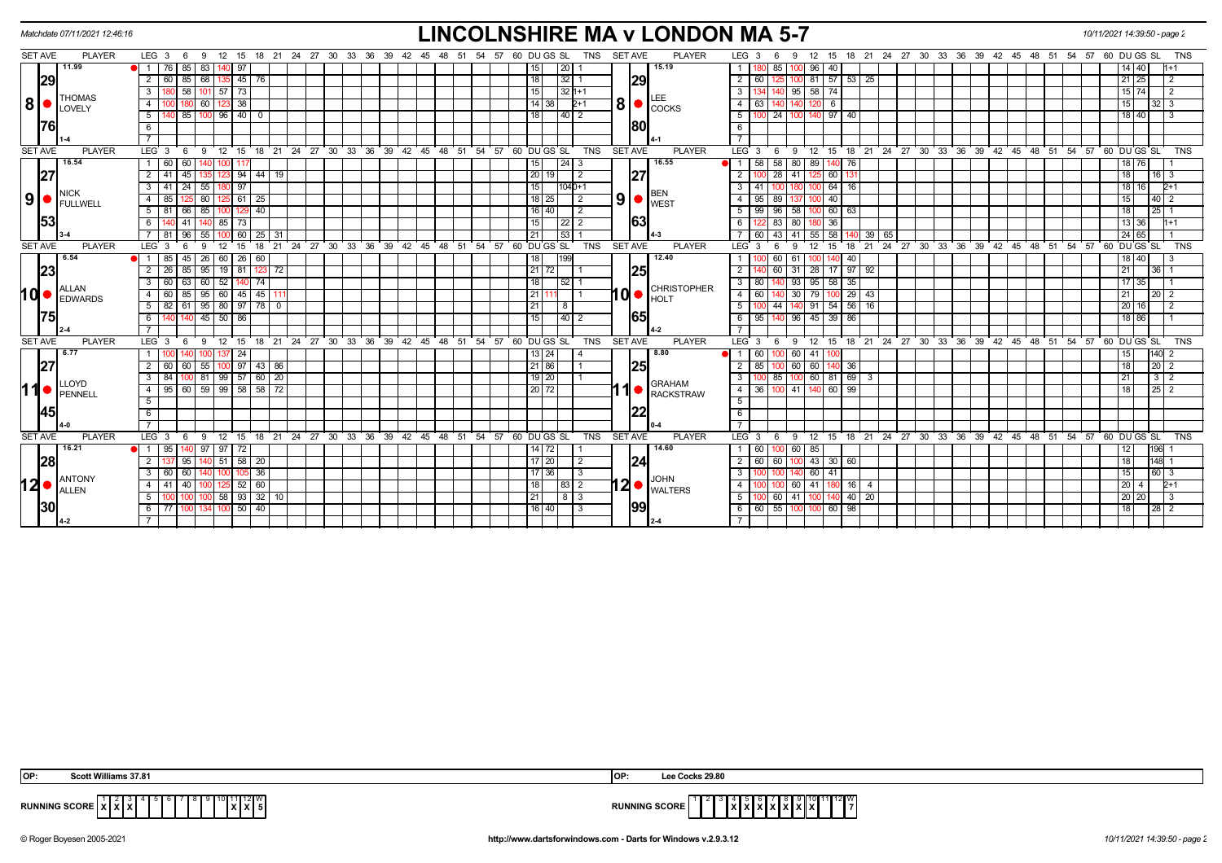| Matchdate 07/11/2021 12:46:16                               |                                                                                                                                                                                                                                                             | <b>LINCOLNSHIRE MA v LONDON MA 5-7</b>                                                                                                                                                                                                                                                                                                                                                                                                 | 10/11/2021 14:39:50 - page 2                                                                                                                   |
|-------------------------------------------------------------|-------------------------------------------------------------------------------------------------------------------------------------------------------------------------------------------------------------------------------------------------------------|----------------------------------------------------------------------------------------------------------------------------------------------------------------------------------------------------------------------------------------------------------------------------------------------------------------------------------------------------------------------------------------------------------------------------------------|------------------------------------------------------------------------------------------------------------------------------------------------|
| <b>SET AVE</b><br><b>PLAYER</b>                             | LEG <sub>3</sub><br>12 15<br>- 9<br>- 6                                                                                                                                                                                                                     | 18 21 24 27 30 33 36 39 42 45 48 51 54 57 60 DU GS SL<br><b>TNS</b><br><b>SET AVE</b><br><b>PLAYER</b><br>LEG <sub>3</sub><br>15 18 21 24 27 30 33 36 39 42 45 48 51 54 57 60 DU GS SL<br>12 <sup>2</sup><br>9<br>6                                                                                                                                                                                                                    | <b>TNS</b>                                                                                                                                     |
| 11.99<br> 29                                                | 85<br>83<br>$\overline{1}$<br>76 I<br>-97<br>68<br>$\overline{2}$<br>85<br>45<br>60<br>76                                                                                                                                                                   | 15.19<br>96<br>20 I<br>85<br>40<br>15 <sup>1</sup><br> 29 <br>18<br> 32 1<br>57<br>$\overline{2}$<br>53<br>60<br>81<br>25                                                                                                                                                                                                                                                                                                              | 14 40<br>$21 \ 25$<br>2                                                                                                                        |
| <b>THOMAS</b><br> 8 ●<br>LOVELY                             | 58<br>$57$ 73<br>3<br>101<br>60<br>38<br>$\overline{4}$<br>5<br>85   100   96   40   0                                                                                                                                                                      | 15<br>$32 1+1$<br>$95 \ 58 \ 74$<br>3 I<br>140<br>14 38<br>$2+1$<br>4 I<br>63<br>6<br> 18 <br>$140\sqrt{2}$<br>5 100 24 100 140 97 40                                                                                                                                                                                                                                                                                                  | $15 \mid 74$<br>$\overline{2}$<br>15<br>32 I 3<br>18 40<br>3                                                                                   |
| <u> 1761</u>                                                | 6                                                                                                                                                                                                                                                           | <b>80</b><br>6<br><b>7</b> I                                                                                                                                                                                                                                                                                                                                                                                                           |                                                                                                                                                |
| <b>SET AVE</b><br><b>PLAYER</b>                             | ່ 12<br>$^{\circ}$ 15<br>LEG <sub>3</sub><br>9<br>- 6                                                                                                                                                                                                       | 18 21 24 27 30 33 36 39 42 45 48 51 54 57 60 DUGS SL<br><b>PLAYER</b><br>18 21 24 27 30 33 36 39 42 45 48 51 54 57 60 DUGS SL<br><b>TNS</b><br><b>SET AVE</b><br>LEG <sup>3</sup><br>12<br>9<br>15<br>6                                                                                                                                                                                                                                | <b>TNS</b>                                                                                                                                     |
| 16.54<br> 27<br><b>NICK</b><br>$9\bullet$<br>FULLWELL<br>53 | 60<br>60<br>1<br>$\overline{2}$<br>41<br>44<br>45<br>94<br>19<br>55<br>3<br>41<br>24<br>97<br>80<br>125 61 l<br>25<br>$\overline{4}$<br>85<br>40<br>51<br>85<br>81<br>66<br>85<br>6<br>l 73<br>41                                                           | 16.55<br>$\sqrt{24}$ 3<br>58<br>89<br>15<br>58<br>80<br>140 76<br>1 <sup>1</sup><br> 27<br> 20 <br>28<br>60<br>$\overline{2}$<br>41<br>15<br>64<br>$104 0+1$<br>3 I<br>41<br>l 16<br>BEN<br>$\vert 9 \vert$ $\bullet$ $\vert_{\text{WEST}}^{\text{\tiny{DEIV}}}$<br>$18$ 25<br>$\vert$ 2<br>95<br>89<br>40<br>4 I<br>16 40<br>$\overline{2}$<br>99<br>96<br>60<br>-5 I<br>58<br> 63<br>63<br>36<br>15<br>83<br>  22   2<br>6 I<br>80 I | 18 76<br>$16$   3<br>18<br>16<br>15<br>40<br>18<br>25 <sub>1</sub><br>13 36<br>$1 + 1$                                                         |
|                                                             | 25<br>96<br>55<br>60<br>-31<br>-81                                                                                                                                                                                                                          | 53<br>58<br>21<br>43<br>39 65<br>60<br>-41<br>55                                                                                                                                                                                                                                                                                                                                                                                       | 24 65                                                                                                                                          |
| <b>SET AVE</b><br><b>PLAYER</b>                             | LEG <sub>3</sub><br>12<br>18<br><b>q</b><br>15                                                                                                                                                                                                              | 21 24 27 30 33 36 39 42 45 48 51 54 57 60 DUGS SL<br>24 27 30 33 36 39 42 45 48 51 54 57 60 DUGS SL<br><b>TNS</b><br><b>SET AVE</b><br><b>PLAYER</b><br>LEG <sup>3</sup><br>18<br>$^{\circ}$ 21<br>15<br>12<br>9.                                                                                                                                                                                                                      | <b>TNS</b>                                                                                                                                     |
| 6.54<br> 23 <br><b>ALLAN</b><br>1d•<br><b>EDWARDS</b>       | 45<br>26<br>60<br>85<br>60<br>26<br>$\overline{1}$<br> 95 <br>$\overline{2}$<br>26<br>85<br>$19$ 81<br>123<br>72<br>60<br>74<br>60<br>63<br>52<br>95<br>45<br>$\overline{4}$<br>60<br>85<br>60 45<br>5<br>82<br>$61$   95 <br>80   97<br>45<br>$50$ 86<br>6 | 12.40<br>18<br>199<br>60<br>-61<br>40<br>25<br>21 72<br>$\overline{2}$<br>60<br>31 28 17 97 92<br>18<br>$3 \mid 80$<br>93<br>95<br>$58$ 35<br>l 52 l<br><b>CHRISTOPHER</b><br>10<br>$4 \overline{60}$<br>79<br>$29 \mid 43$<br>21<br>30 <sub>1</sub><br>54<br>$56$ 16<br>21<br>8<br>$5 \vert$<br>44<br>140 91<br>65<br>$39$ 86<br>15<br>  40   2<br>6 95<br>$96 \mid 45$<br>140                                                        | 18 40<br>21<br>36 <sup>1</sup><br>17<br>35<br>21<br>20 <sub>1</sub><br>20<br>16<br>$\overline{2}$<br>18 86                                     |
| <b>SET AVE</b><br><b>PLAYER</b>                             | 24 27 30 33 36<br>LEG <sub>3</sub><br>12<br>$^{\circ}$ 21<br>9<br>15<br>18                                                                                                                                                                                  | 48 51 54 57 60 DUGS SL<br><b>TNS</b><br><b>SET AVE</b><br><b>PLAYER</b><br>$LEG^3$ 3<br>24 27 30 33 36 39 42 45 48 51 54 57 60 DUGS SL<br>$39 \t 42 \t 45$<br>12<br>18<br>$^{\circ}$ 21<br>9<br>15<br>- 6                                                                                                                                                                                                                              | <b>TNS</b>                                                                                                                                     |
| 6.77<br> 27 <br>11●<br>LLOYD<br>PENNELL<br>1451             | -24<br> 43 86<br>55<br>100 97<br>2<br>60<br>-60<br>$99$ 57 60 20<br>3<br>84<br>100 81<br>$\overline{58}$<br>$60$ 59<br>$99$ 58<br>95<br>$\overline{4}$<br>72<br>5<br>6                                                                                      | 8.80<br>60<br>60 I<br>13   24<br>41<br>25<br>60<br> 21 86<br>$\overline{2}$<br>85<br>60<br>36<br>$19$   20<br>$\overline{\textbf{3}}$<br>$100 \ 60 \ 81 \ 69 \ 3$<br>100 85<br><b>GRAHAM</b><br>$20$ 72<br>60<br>- 66<br>4   36<br>41 I<br><b>RACKSTRAW</b><br>5<br> 22<br>6                                                                                                                                                           | 15<br>18<br>$20 \mid 2$<br>21<br>$3 \mid 2$<br>25 <sub>1</sub><br>18<br>$\overline{2}$                                                         |
| <b>SET AVE</b><br><b>PLAYER</b>                             | LEG 3<br>12<br>15<br>18 21 24 27 30 33 36<br>- 9<br>- 6                                                                                                                                                                                                     | 60 DU GS SL<br><b>TNS</b><br><b>SET AVE</b><br><b>PLAYER</b><br>LEG <sub>3</sub><br>9 12 15 18 21 24 27 30 33 36 39 42 45 48<br>39 42 45<br>48<br>51<br>- 54<br>57<br>- 6                                                                                                                                                                                                                                                              | <b>TNS</b><br>51 54 57 60 DU GS SL                                                                                                             |
| 16.21<br> 28 <br><b>ANTONY</b><br>12∣∙<br>ALLEN<br> 30      | 97<br>$\overline{1}$<br>95<br>97   72<br>$51 \, 58$<br>20<br>2<br>95<br>36<br>$\overline{3}$<br>60<br>60<br>60<br>4   41<br>52<br>40<br>32<br>58<br>5 <sup>5</sup><br>93<br>$100$ 50 $40$<br>6 77 1<br>1001134                                              | 14.60<br>60<br>14   72<br>60 85<br> 24 <br>17 20<br>$2 \mid 60$<br>100 43 30 60<br>$\overline{2}$<br>60<br>3 <sup>1</sup><br>60<br>41<br>17 36<br>3<br><b>JOHN</b><br>$12$ $\bullet$ $\frac{100 \text{ m}}{WALTERS}$<br>18<br>  83   2<br>60 41<br>4 I<br>  16  <br>4<br>21<br>  8   3<br>60<br>41<br>$-40$<br>20 <sup>1</sup><br>5 I<br> 99 <br>$116$ 40<br>6 6 6 55 100 100 60 98<br>l 3                                             | 196<br>12<br>18<br>148<br>15<br>60 3<br>20<br>$2+1$<br>4<br>20 20<br>-3<br>18<br>$\begin{array}{c c c c c} \hline 2 & 2 \\ \hline \end{array}$ |
|                                                             |                                                                                                                                                                                                                                                             |                                                                                                                                                                                                                                                                                                                                                                                                                                        |                                                                                                                                                |

| IOP:           | :eot                    | <b>IOF</b>  | <b>KS 29.80</b>                     |
|----------------|-------------------------|-------------|-------------------------------------|
| <b>RUNNING</b> | . <del>.</del><br>^'^'^ | <b>RUNN</b> | 12 I W<br><b>ING SCORE</b><br>^ * * |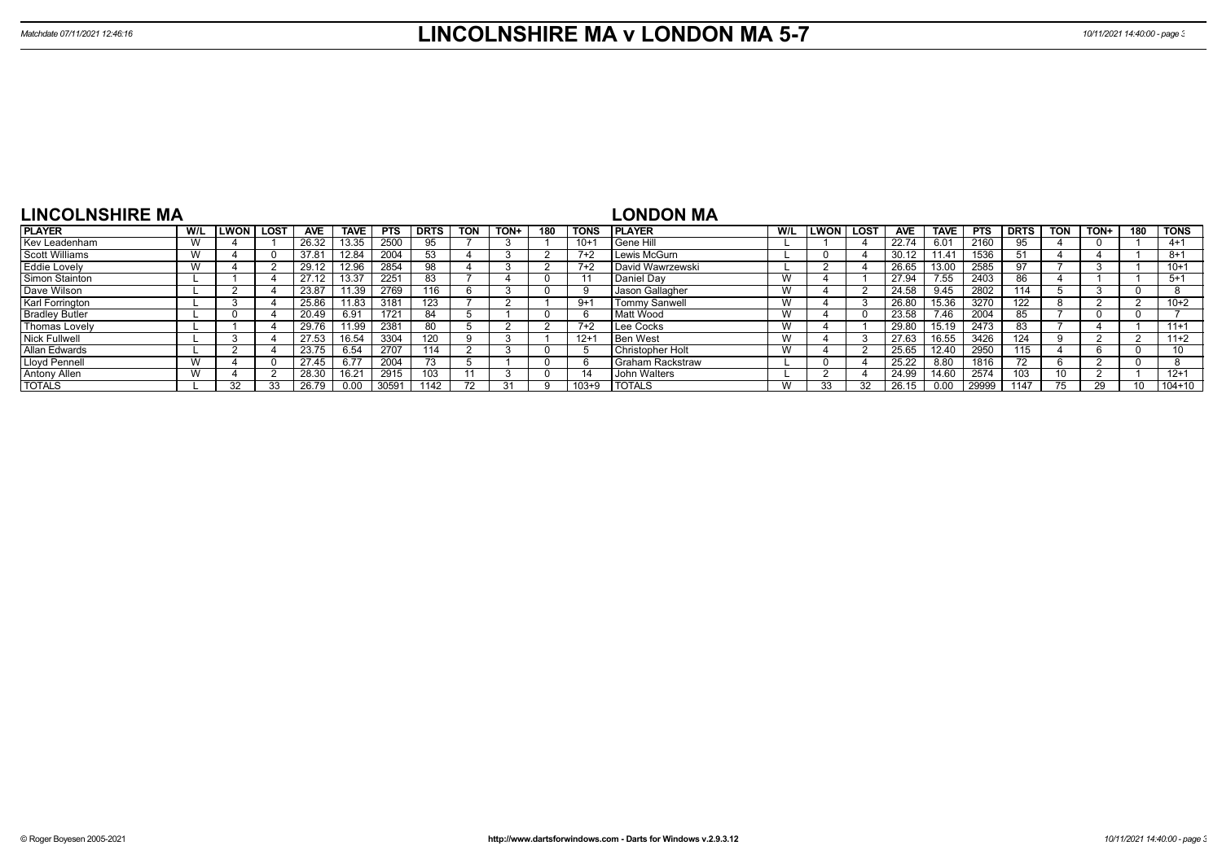| <b>LINCOLNSHIRE MA</b> |     |              |             |       |                |            |             |                          |      |     |             | LONDON MA            |     |      |        |            |             |            |             |            |      |     |             |
|------------------------|-----|--------------|-------------|-------|----------------|------------|-------------|--------------------------|------|-----|-------------|----------------------|-----|------|--------|------------|-------------|------------|-------------|------------|------|-----|-------------|
| <b>PLAYER</b>          | W/L | <b>ILWON</b> | <b>LOST</b> | AVE   | <b>TAVE</b>    | <b>PTS</b> | <b>DRTS</b> | <b>TON</b>               | TON+ | 180 | <b>TONS</b> | I PLAYER             | W/L | LWON | l LOST | <b>AVE</b> | <b>TAVE</b> | <b>PTS</b> | <b>DRTS</b> | <b>TON</b> | TON+ | 180 | <b>TONS</b> |
| Kev Leadenham          |     |              |             | 26.32 | 13.35          | 2500       | 95          |                          |      |     | $10 + 7$    | Gene Hill            |     |      |        | 22.74      | 6.01        | 2160       | 95          |            |      |     | $4+1$       |
| <b>Scott Williams</b>  |     |              |             | 37.81 |                | 2004       | 53          |                          |      |     | $7+2$       | Lewis McGurn         |     |      |        | 30.12      | 11.41       | 1536       | 51          |            |      |     | $8 + 1$     |
| <b>Eddie Lovely</b>    |     |              |             | 29.12 | 12.96          | 2854       | 98          |                          |      |     | $7+2$       | David Wawrzewski     |     |      |        | 26.65      | 13.00       | 2585       | 97          |            |      |     | $10+1$      |
| Simon Stainton         |     |              |             |       |                | 2251       | 83          |                          |      |     |             | Daniel Dav           | W   |      |        | 27.94      | 7.55        | 2403       | ŏb          |            |      |     | $5 + 1$     |
| Dave Wilson            |     |              |             | 23.87 | 11.39          | 2769       | 116         |                          |      |     |             | Jason Gallagher      | W   |      |        | 24.58      | 9.45        | 2802       | 114         |            |      |     |             |
| Karl Forrington        |     |              |             | 25.86 | 11.83          | 3181       | 123         |                          |      |     | $9 + 1$     | <b>Tommy Sanwell</b> | W   |      |        | 26.80      | 15.36       | 3270       | 22          |            |      |     | $10+2$      |
| <b>Bradley Butler</b>  |     |              |             | 20.49 | 6.91           | 1721       | 84          |                          |      |     | 'n          | Matt Wood            | W   |      |        | 23.58      | 7.46        | 2004       |             |            |      |     |             |
| <b>Thomas Lovely</b>   |     |              |             | 29.76 | 11.99          | 2381       | -80         |                          |      |     | $7+2$       | Lee Cocks            | W   |      |        | 29.80      | 15.19       | 2473       |             |            |      |     | $11+1$      |
| <b>Nick Fullwell</b>   |     |              |             | 27.53 | 16.54          | 3304       | 120         |                          |      |     | $12+7$      | <b>Ben West</b>      | W   |      |        | 27.63      | 16.55       | 3426       | 124         |            |      |     | $11+2$      |
| Allan Edwards          |     |              |             | 23.75 | 6.54           | 2707       | 114         |                          |      |     |             | Christopher Holt     | W   |      |        | 25.65      | 12.40       | 2950       | 115         |            |      |     | 10          |
| Lloyd Pennell          |     |              |             | 27.45 | 6.77           | 2004       | 73          |                          |      |     |             | I Graham Rackstraw   |     |      |        | 25.22      | 8.80        | 1816       | 72          |            |      |     |             |
| Antony Allen           |     |              |             | 28.30 | $16.2^{\circ}$ | 2915       | 103         |                          |      |     |             | John Walters         |     |      |        | 24.99      | 14.60       | 2574       | 03          | 10         |      |     | $12 + 1$    |
| <b>TOTALS</b>          |     | 32           |             | 26.79 | 0.00           | 30591      | 1142        | $\overline{\phantom{a}}$ |      |     | $103 + 9$   | <b>I TOTALS</b>      | W   | 33   |        | 26.15      | 0.00        | 29999      | 1147        |            | 29   |     | $104 + 10$  |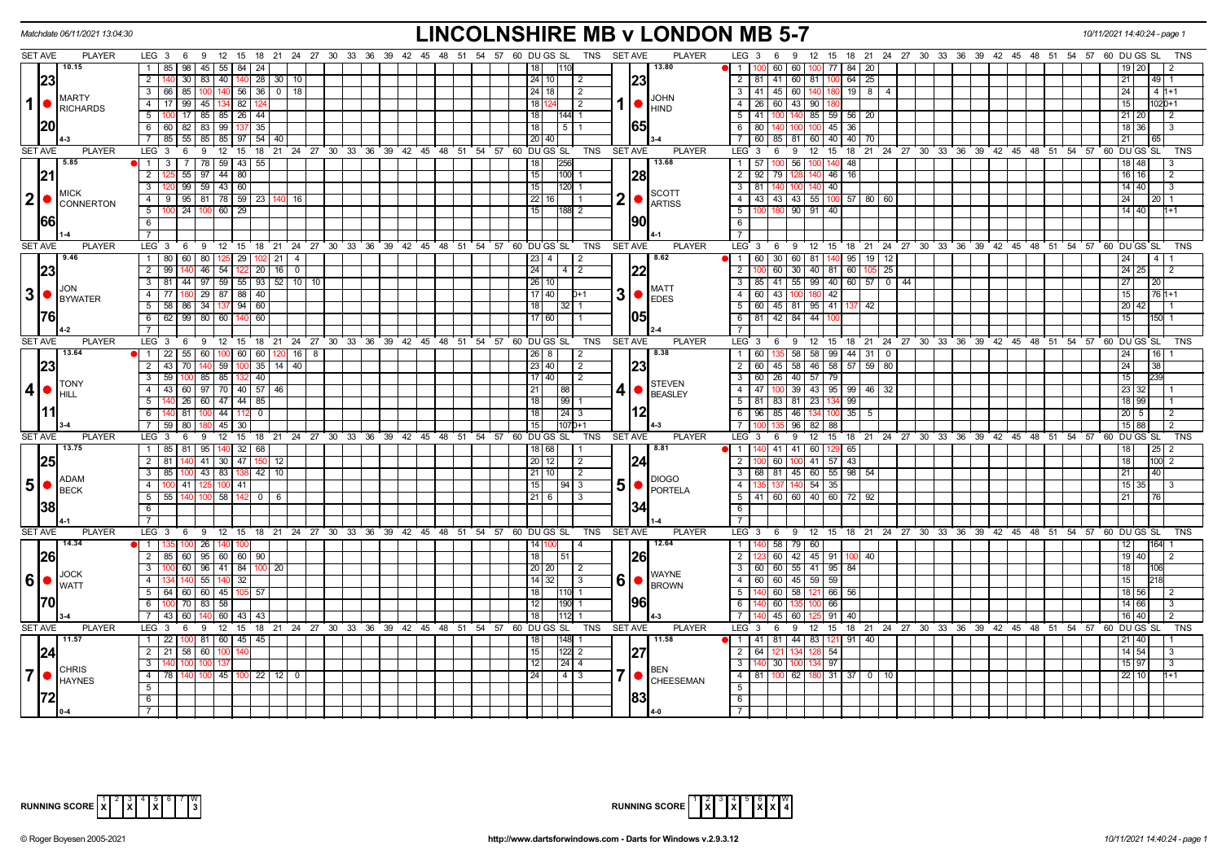| Matchdate 06/11/2021 13:04:30                 |                                                                                    | <b>LINCOLNSHIRE MB v LONDON MB 5-7</b>                                                                                                               |                                                                                            | 10/11/2021 14:40:24 - page     |
|-----------------------------------------------|------------------------------------------------------------------------------------|------------------------------------------------------------------------------------------------------------------------------------------------------|--------------------------------------------------------------------------------------------|--------------------------------|
| <b>SET AVE</b><br><b>PLAYER</b>               |                                                                                    | LEG 3 6 9 12 15 18 21 24 27 30 33 36 39 42 45 48 51 54 57 60 DUGS SL TNS SETAVE<br><b>PLAYER</b>                                                     | LEG 3 6 9 12 15 18 21 24 27 30 33 36 39 42 45 48 51 54 57 60 DUGS SL                       | TNS                            |
| 10.15                                         | 85   98   45   55   84   24<br>$\mathbf{1}$                                        | 13.80<br> 18                                                                                                                                         | 1 100 60 60 100 77 <br>$84 \mid 20$                                                        |                                |
| 23                                            | 30 83 40 140 28 30 10<br>$\overline{2}$                                            | 23<br> 24 10 <br>l 2                                                                                                                                 | 2   81   41   60   81   100   64   25                                                      | 21<br> 49                      |
|                                               | $3   66   85   100   140   56   36   0   18$                                       | 24 18 <br>$\overline{2}$                                                                                                                             | 3   41   45   60   140   180   19   8   4                                                  | 24<br>$-4$ 1+1                 |
| <b>IMARTY</b><br>$1$ $\bullet$<br>RICHARDS    | 17   99   45   134   82   124<br>4 <sup>1</sup>                                    | <b>JOHN</b><br>l 18 h<br>$\sqrt{2}$<br>$\blacksquare$                                                                                                | 4   26   60   43   90   180                                                                | 15<br>$1020 + 1$               |
|                                               | 5 <sub>1</sub><br>100 17 85 85 26 44                                               | l 18 l<br> 144  1                                                                                                                                    | $5$   41   100   140   85   59   56   20                                                   | $21$ 20<br>$\overline{2}$      |
| <b>20</b>                                     | 6 6 6 82 83 99 137 35                                                              | 65 <br>$\overline{18}$<br>$5\overline{11}$                                                                                                           | 6 80 140<br>$100$ 100 45 36                                                                | 18 36<br>3                     |
|                                               | 85 55 65 85 97 54 40                                                               | 20   40                                                                                                                                              | 7 60 85 81 60 40 40 70                                                                     | 21                             |
| <b>SET AVE</b><br><b>PLAYER</b>               | LEG <sub>3</sub><br>6 9 12 15 18 21 24 27 30 33 36 39 42 45 48 51 54 57 60 DUGS SL | TNS<br>SET AVE<br><b>PLAYER</b>                                                                                                                      | LEG 3<br>6 9 12 15 18 21 24 27 30 33 36 39 42 45 48 51 54 57 60 DUGS SL                    | <b>TNS</b>                     |
| 5.85                                          | $3$   7   78   59   43   55<br>1                                                   | 13.68<br>256<br>18                                                                                                                                   | 1 57 100 56 100 140 48                                                                     | 18 48                          |
| 21                                            | $\overline{2}$<br>$55 \mid 97 \mid 44 \mid 80$                                     | $\overline{15}$<br>$100$ 1<br> 28                                                                                                                    | 2 92 79 128 140 46 16                                                                      | $16$ 16<br>$\overline{2}$      |
|                                               | $99$ 59 43 60<br>3 <sup>1</sup>                                                    | 120 1<br> 15                                                                                                                                         | 3 81 40 100 140 40                                                                         | 14 40<br>-3                    |
| <b>IMICK</b><br> 2 ●                          | 9 95 81 78 59 23 140 16<br>4                                                       | <b>SCOTT</b><br>2  <sub>o</sub><br>22 16                                                                                                             | 4   43   43   43   55   100   57   80   60                                                 | 24<br>120                      |
| <b>CONNERTON</b>                              | $5-1$<br>$124 \ 100$<br>60 29                                                      | <b>ARTISS</b><br>15<br>188 2                                                                                                                         | $5 \vert$<br>  90   91   40                                                                | 14 40                          |
| 1661                                          | 6                                                                                  | 190                                                                                                                                                  | 6                                                                                          |                                |
|                                               | $\overline{7}$                                                                     |                                                                                                                                                      | $\overline{7}$                                                                             |                                |
| <b>SET AVE</b><br><b>PLAYER</b>               | $12$ 15<br>LEG 3<br>9<br>6                                                         | 18 21 24 27 30 33 36 39 42 45 48 51 54 57 60 DUGS SL<br><b>TNS</b><br><b>SET AVE</b><br><b>PLAYER</b>                                                | LEG 3<br>9 12 15 18 21 24 27 30 33 36 39 42 45 48 51 54 57 60 DUGS SL<br>6                 | <b>TNS</b>                     |
| 9.46                                          | 1   80   60   80   125   29   102   21   4                                         | 8.62<br>$\sqrt{23}$ 4<br>$\vert$ 2                                                                                                                   | 1   60   30   60   81   140   95   19   12                                                 | 24<br>$\sqrt{4}$               |
| 23                                            | $\overline{2}$<br>140 46 54 122 20 16 0<br>99                                      | 24 <br>  4   2<br>122                                                                                                                                | $\overline{2}$<br>  60   30   40   81   60   105   25                                      | $24$ 25<br>2                   |
|                                               | 3 81 44 97 59 55 93 52 10<br>10                                                    | 26 10                                                                                                                                                | $3   85   41   55   99   40   60   57   0   44$                                            | 27<br>20 <sub>1</sub>          |
| IJON.<br>$3$ $\bullet$ $\frac{100N}{BYWATER}$ | 180 29 87 88 40<br>$\overline{4}$<br>77                                            | <b>MATT</b><br>$3$ $\bullet$ $\overline{\phantom{a}}$ $\overline{\phantom{a}}$ $\overline{\phantom{a}}$ $\overline{\phantom{a}}$<br>$17$ 40<br>$D+1$ | 4 60 43 100 180 42                                                                         | 15<br>$761+1$                  |
|                                               | $5$ 58 86 34 137 94 60                                                             | 118<br>$32$ 1                                                                                                                                        | 5   60   45   81   95   41   137   42                                                      | 20 42                          |
| 1761                                          | $62$ 99 80 60 140 60<br>$6\overline{}$                                             | 117 60                                                                                                                                               | 6 81 42 84 44<br>10C                                                                       | 15<br>150 1                    |
|                                               | $\overline{7}$                                                                     |                                                                                                                                                      | $7^{\circ}$                                                                                |                                |
| <b>SET AVE</b><br><b>PLAYER</b>               | LEG 3 6 9 12 15 18 21 24 27 30 33 36 39 42 45 48 51 54 57 60 DUGS SL               | <b>PLAYER</b><br><b>TNS</b><br><b>SET AVE</b>                                                                                                        | LEG 3<br>9 12 15 18 21 24 27 30 33 36 39 42 45 48 51 54 57 60 DUGS SL<br>6                 | <b>TNS</b>                     |
| 13.64                                         | $\overline{1}$<br>55   60<br>60   60<br>22<br>16<br>8                              | 8.38<br>26<br>-2                                                                                                                                     | $1 \mid 60$<br>58<br>58<br>99<br>44 31<br>$\mathbf 0$                                      | 24<br>16                       |
| 23                                            | $\overline{2}$<br>43 70 140 59 100 35 14 40                                        | 23<br> 23 40 <br>$\vert 2 \vert$                                                                                                                     | 2 60 45 58 46 58 57 59<br>80                                                               | 24<br>38                       |
|                                               | $\overline{3}$<br>59<br>100 85 85 132 40                                           | 17 40 <br>$\overline{2}$                                                                                                                             | 3 60 26 40 57 79                                                                           | 15                             |
| <b>ITONY</b><br> 4                            | 43 60 97 70 40 57 46<br>$\overline{4}$                                             | <b>STEVEN</b><br>41 <sup>°</sup><br>$\overline{21}$<br>88                                                                                            | 4   47   100   39   43   95   99   46  <br>32                                              | 23<br>32                       |
| <b>I</b> HILL                                 | 140 26 60 47 44 85<br>$\overline{5}$                                               | BEASLEY<br>118<br>$199$ 1                                                                                                                            | 5   81   83   81   23   134   99                                                           | 18 99                          |
|                                               | 6<br>140 81 100 44 112<br>$\mathbf 0$                                              | 12<br> 18 <br>$\sqrt{24}$ 3                                                                                                                          | 6 96 85 46 134 100<br>$35 \mid 5$                                                          | 20 5<br>$\overline{2}$         |
|                                               | $\overline{7}$<br>$80$ 18<br>45<br>59<br>30                                        | 15<br>1070+1                                                                                                                                         | 7 <sup>1</sup><br>$96$ 82 88                                                               | 15 88                          |
| <b>SET AVE</b><br><b>PLAYER</b>               | LEG <sub>3</sub><br>6<br>- 9                                                       | 12 15 18 21 24 27 30 33 36 39 42 45 48 51 54 57 60 DUGS SL<br><b>SET AVE</b><br><b>PLAYER</b><br>TNS                                                 | 12 15 18 21 24 27 30 33 36 39 42 45 48 51 54 57 60 DUGS SL<br>LEG <sub>3</sub><br>6<br>່ 9 | TNS                            |
| 13.75                                         | 1   85   81   95   140   32   68                                                   | 8.81<br>18 68<br>l 1                                                                                                                                 | 1 140 41 41 60 129<br>65                                                                   | 18 I<br> 25 <br>$\overline{2}$ |
| 25                                            | $\overline{2}$<br>140 41 30 47<br>81<br>150<br>12                                  | 20 12 <br> 24<br>$\vert$ 2                                                                                                                           | $\overline{2}$<br>60<br>$100$ 41 57<br>43                                                  | 18<br>100 2                    |
|                                               | $\overline{3}$<br>100 43 83 138 42 10<br>85                                        | 21 10 <br>$\vert$ 2                                                                                                                                  | 3   68   81   45   60   55   98   54                                                       | 21<br>40                       |
| <b>ADAM</b><br>$5\bullet$                     | $\overline{4}$<br>100 41   125   100   41                                          | <b>DIOGO</b><br>$50$ Fortela<br>15<br> 94 3                                                                                                          | 35 137 140 54 35<br>4                                                                      | $15 \mid 35 \mid$              |
| <b>BECK</b>                                   | 5<br>15811420<br>55<br>140 100                                                     | I 21 I 6                                                                                                                                             | 5   41   60   60   40   60   72   92                                                       | 21<br>l 76 l                   |
| 38                                            | 6                                                                                  | 34                                                                                                                                                   | 6                                                                                          |                                |
|                                               | $\overline{7}$                                                                     |                                                                                                                                                      | $\overline{7}$                                                                             |                                |
| <b>SET AVE</b><br><b>PLAYER</b>               | 9 12 15 18 21 24 27 30 33 36 39 42 45 48 51 54 57 60 DUGSSL<br>LEG 3<br>6          | <b>TNS</b><br><b>SET AVE</b><br><b>PLAYER</b>                                                                                                        | $LEG^{\prime}$ 3<br>6 9 12 15 18 21 24 27 30 33 36 39 42 45 48 51 54 57 60 DUGS SL         | <b>TNS</b>                     |
| 14.34                                         | $\overline{1}$<br>100 26 140                                                       | 12.64<br>14<br>$\vert$ 4                                                                                                                             | 58 79 60<br>$\overline{1}$                                                                 | 12<br>164                      |
| 26                                            | $2$ 85 60 95 60 60 90                                                              | 26<br> 18 <br>  51                                                                                                                                   | 60   42   45   91   100   40<br>$\overline{2}$                                             | 19 40<br>2                     |
|                                               | $3-1$<br>0 60 96 41 84 100<br>20                                                   | 20 20<br>l 2                                                                                                                                         | 3   60   60   55   41   95   84                                                            | 18<br>106                      |
| $ 6  \bullet  _{\text{WATT}}$                 | 55<br>$\mathbf{\Delta}$<br>32                                                      | <b>WAYNE</b><br>$60$ $\degree$ BROWN<br>l 14 I :<br>-3                                                                                               | 4<br>60 60 45 59<br>59                                                                     |                                |
|                                               | 64 60 60 45 105 57<br>$5-1$                                                        | 18<br>110 1                                                                                                                                          | 60 58 121<br>$5-1$<br>66 56                                                                | 18 56<br>$\overline{2}$        |
| 1701                                          | 70   83<br>6<br>58                                                                 | 96<br>190 1<br>12                                                                                                                                    | 66<br>6<br>60                                                                              | 14 66<br>$\overline{3}$        |
|                                               | 7<br>60<br>60   43<br>43<br>  43                                                   | 18<br>112                                                                                                                                            | $\overline{7}$<br>45<br>60<br>91<br>40                                                     | 16 40<br>-2                    |
| <b>SET AVE</b><br><b>PLAYER</b>               | LEG <sub>3</sub><br>6 9 12 15 18 21 24 27 30 33 36 39 42 45 48 51 54 57 60 DUGS SL | <b>PLAYER</b><br>TNS<br><b>SET AVE</b>                                                                                                               | LEG 3<br>6 9 12 15 18 21 24 27 30 33 36 39 42 45 48 51 54 57 60 DUGS SL                    | TNS                            |
| 11.57                                         | $1 \mid 22 \mid$<br>00 81 60 45 45                                                 | 11.58<br>148I                                                                                                                                        | $1$ 1 41 81<br>44 83<br>91   40<br>121                                                     | 21 40                          |
| 24                                            | 2 21 58 60 100                                                                     | 27<br>$122$ 2<br>15                                                                                                                                  | $\overline{2}$<br>64 121<br>54<br>128                                                      | $14 \overline{)54}$            |
|                                               | 3                                                                                  | 12  <br>  24   4                                                                                                                                     | $\overline{\phantom{a}3}$ T<br>97<br>140  30 I<br>134                                      | 15 97<br>-3                    |
| <b>CHRIS</b><br>$\overline{7}$                | 140 100 45 100 22 12 0<br>$\overline{4}$<br>78                                     | BEN<br> 24 <br>  4   3                                                                                                                               | 4   81   100   62   180   31   37   0   10                                                 | 22 10<br>$1+1$                 |
| <b>HAYNES</b>                                 | $\overline{5}$                                                                     | CHEESEMAN                                                                                                                                            | 5 <sup>5</sup>                                                                             |                                |
|                                               | 6                                                                                  | 1831                                                                                                                                                 | 6                                                                                          |                                |
|                                               | $\overline{7}$                                                                     |                                                                                                                                                      |                                                                                            |                                |
|                                               |                                                                                    |                                                                                                                                                      |                                                                                            |                                |

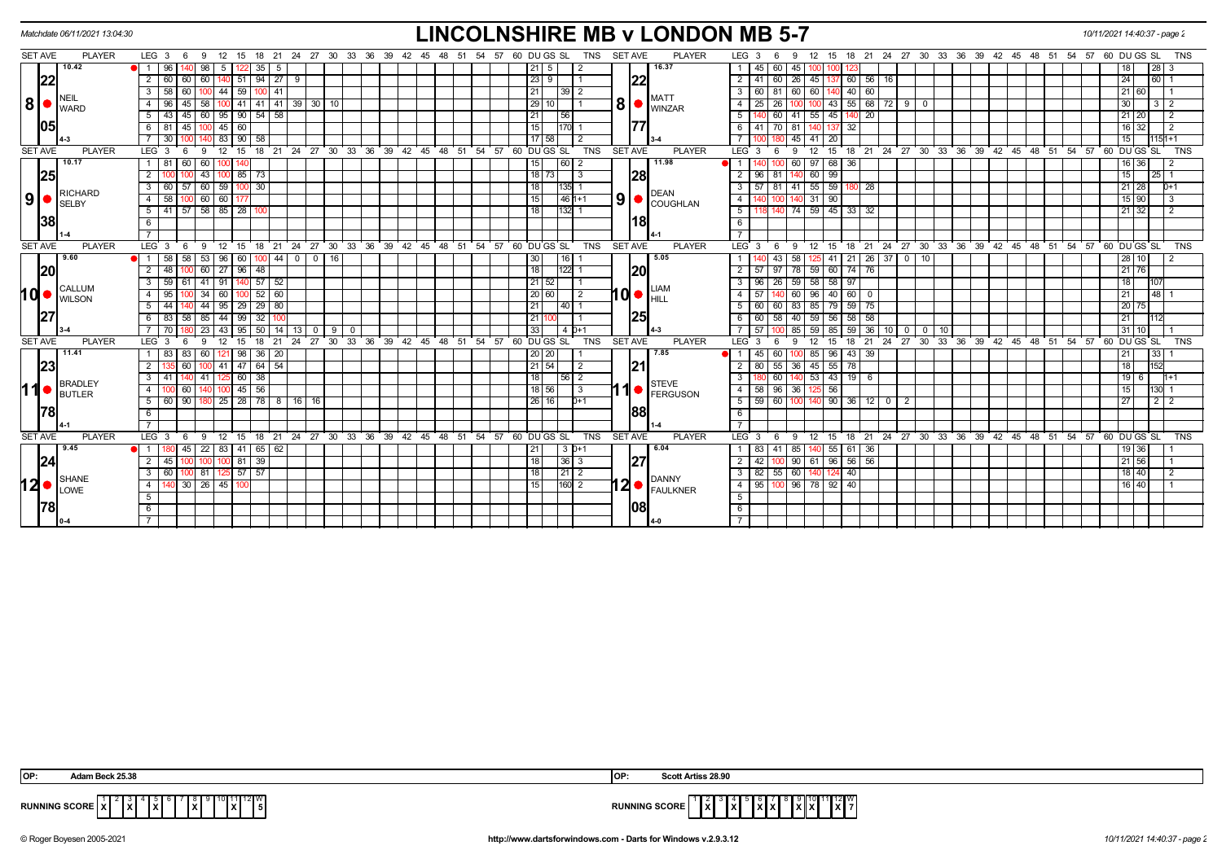|                |      | Matchdate 06/11/2021 13:04:30 |                                  |      |                     |                   |         |                            |        |         |                |    |                         |  |                        |  |  |                 |                                                           |                       |            |                |    | <b>LINCOLNSHIRE MB v LONDON MB 5-7</b>        |                    |                                      |                |                               |                         |             |                      |                 |                |        |          |                                                            |  |    | 10/11/2021 14:40:37 - page 2 |    |                      |            |                |  |
|----------------|------|-------------------------------|----------------------------------|------|---------------------|-------------------|---------|----------------------------|--------|---------|----------------|----|-------------------------|--|------------------------|--|--|-----------------|-----------------------------------------------------------|-----------------------|------------|----------------|----|-----------------------------------------------|--------------------|--------------------------------------|----------------|-------------------------------|-------------------------|-------------|----------------------|-----------------|----------------|--------|----------|------------------------------------------------------------|--|----|------------------------------|----|----------------------|------------|----------------|--|
| <b>SET AVE</b> |      | <b>PLAYER</b>                 | $LEG_36$                         |      | - 9                 | 12                | 15      |                            |        |         |                |    |                         |  |                        |  |  |                 | 18 21 24 27 30 33 36 39 42 45 48 51 54 57 60 DU GS SL     |                       | TNS        | <b>SET AVE</b> |    | <b>PLAYER</b>                                 |                    | LEG <sub>3</sub>                     | 6              | 9                             | 15<br>12                |             |                      |                 |                |        |          | 18 21 24 27 30 33 36 39 42 45 48 51 54 57 60 DU GS SL      |  |    |                              |    |                      |            | <b>TNS</b>     |  |
|                |      | 10.42                         |                                  | 96   | 98                  | - 5               |         | 35                         | - 5    |         |                |    |                         |  |                        |  |  |                 | 21 5                                                      |                       |            |                |    | 16.37                                         |                    | 45                                   | 60             | 45                            |                         |             |                      |                 |                |        |          |                                                            |  |    |                              |    |                      | 28 I       |                |  |
|                | 22   |                               | $\overline{2}$                   | 60   | 60                  |                   | -51     | 94                         | 27     |         |                |    |                         |  |                        |  |  |                 | 23 9                                                      |                       |            |                | 22 |                                               | $\overline{2}$     |                                      |                | 26                            | 45                      | 60          | 56                   | 16              |                |        |          |                                                            |  |    |                              | 24 |                      | 60         |                |  |
|                |      |                               | 3                                | 58   | 60 l<br>100         |                   | 44   59 |                            | 100 41 |         |                |    |                         |  |                        |  |  |                 |                                                           | 39 2                  |            |                |    |                                               | - 3 I              | 60 I                                 | 81             | 60 I                          | 60<br>140               |             | 40 60                |                 |                |        |          |                                                            |  |    |                              |    | 21 60                |            |                |  |
| 8 •            |      | NEIL<br><b>I</b> WARD         | $\overline{4}$                   | 96   | 58                  |                   |         | $141$ 41 41 39 30 10       |        |         |                |    |                         |  |                        |  |  |                 | 29 10                                                     |                       |            | 8 <sup>1</sup> |    | <b>MATT</b><br><b>WINZAR</b>                  | $\overline{4}$     | 25                                   |                |                               | 43                      |             | 55   68              | 72              | 9   0          |        |          |                                                            |  |    |                              | 30 |                      |            | $\overline{2}$ |  |
|                |      |                               | 51                               | 43   | 45 60 95 90 54 58   |                   |         |                            |        |         |                |    |                         |  |                        |  |  | 21              | 56                                                        |                       |            |                |    |                                               | 5                  |                                      |                | 60 41 55 45                   |                         |             | $140$ 20             |                 |                |        |          |                                                            |  |    |                              |    | 21 20                |            | $\overline{2}$ |  |
|                | 1051 |                               | - 6 I                            | -81  | 45                  |                   | 45 60   |                            |        |         |                |    |                         |  |                        |  |  | l 15 l          |                                                           | 1170                  |            |                |    |                                               |                    |                                      | 70             | -81                           |                         | 32          |                      |                 |                |        |          |                                                            |  |    |                              |    | 32                   |            | $\overline{2}$ |  |
|                |      |                               |                                  | 30   |                     |                   |         | 83   90   58               |        |         |                |    |                         |  |                        |  |  |                 | 17 58                                                     |                       |            |                |    |                                               |                    |                                      |                | 45 I                          | 41 I<br>20              |             |                      |                 |                |        |          |                                                            |  |    |                              |    | 15                   |            | 1151+1         |  |
| <b>SET AVE</b> |      | <b>PLAYER</b>                 | LEG <sub>3</sub>                 |      | -9<br>-6            | $12 \overline{ }$ | 15      |                            |        |         |                |    | 18 21 24 27 30 33 36 39 |  | $42 \quad 45 \quad 48$ |  |  |                 | 51 54 57 60 DUGS SL                                       |                       | <b>TNS</b> | <b>SET AVE</b> |    | <b>PLAYER</b>                                 | LEG <sub>3</sub>   |                                      | 6              | -9                            | 15<br>12                | 18          |                      |                 |                |        |          | $21$ 24 27 30 33 36 39 42 45 48 51                         |  | 54 | 57 60 DU GS SL               |    |                      |            | <b>TNS</b>     |  |
|                |      | 10.17                         | $1$ 81                           |      | 60<br>60            |                   |         |                            |        |         |                |    |                         |  |                        |  |  | 15              |                                                           | $\left  60 \right  2$ |            |                |    | 11.98                                         |                    |                                      |                | 60                            | 97 68                   | 36          |                      |                 |                |        |          |                                                            |  |    |                              |    | 16 36                |            |                |  |
|                | 25   |                               | $\overline{2}$                   |      | 43                  |                   |         | $85$ 73                    |        |         |                |    |                         |  |                        |  |  |                 | $18$ 73                                                   | -3                    |            |                | 28 |                                               | $\overline{2}$     | 96                                   |                |                               | 60 99                   |             |                      |                 |                |        |          |                                                            |  |    |                              |    | 15                   | 25 I       |                |  |
|                |      | RICHARD                       | 3 <sup>1</sup>                   | 60   | 60                  |                   |         | 59   100   30              |        |         |                |    |                         |  |                        |  |  | 18              |                                                           | 135                   |            |                |    | <b>DEAN</b>                                   | 3                  | 57                                   | 81             | 41                            | 55<br>59                |             | 28                   |                 |                |        |          |                                                            |  |    |                              |    | 28<br>21             |            | 0+1            |  |
| 9 <sup>1</sup> |      | <b>SELBY</b>                  | 4 58                             |      | $100$ 60 60 17      |                   |         |                            |        |         |                |    |                         |  |                        |  |  | 15 <sub>l</sub> |                                                           | $146$ 1+1             |            | 9 <sub>l</sub> |    | COUGHLAN                                      | $-4$               |                                      |                |                               | $31$ 90                 |             |                      |                 |                |        |          |                                                            |  |    |                              |    | $15$ 90              |            |                |  |
|                |      |                               | $5 \mid 41$                      |      | $57$ $58$ $85$ $28$ |                   |         |                            |        |         |                |    |                         |  |                        |  |  | 18              |                                                           | 132                   |            |                |    |                                               | 5                  |                                      |                | 74                            | 59 45                   |             | 33 32                |                 |                |        |          |                                                            |  |    |                              |    | $21 \ 32$            |            | $\overline{2}$ |  |
|                | 38   |                               | 6                                |      |                     |                   |         |                            |        |         |                |    |                         |  |                        |  |  |                 |                                                           |                       |            |                | 18 |                                               | 6                  |                                      |                |                               |                         |             |                      |                 |                |        |          |                                                            |  |    |                              |    |                      |            |                |  |
|                |      |                               | $\overline{7}$                   |      |                     |                   |         |                            |        |         |                |    |                         |  |                        |  |  |                 |                                                           |                       |            |                |    |                                               | $\overline{7}$     |                                      |                |                               |                         |             |                      |                 |                |        |          |                                                            |  |    |                              |    |                      |            |                |  |
| <b>SET AVE</b> |      | <b>PLAYER</b>                 | LEG <sup>3</sup>                 |      | - 9                 | $12^{\circ}$      | 15      | 18                         | ີ 21   |         |                |    |                         |  |                        |  |  |                 | 24 27 30 33 36 39 42 45 48 51 54 57 60 DUGS SL            |                       | <b>TNS</b> | <b>SET AVE</b> |    | <b>PLAYER</b>                                 | LEG <sup>'</sup> 3 |                                      | 6              | -9                            | $12 \overline{ }$<br>15 | 18          |                      |                 |                |        |          | 21 24 27 30 33 36 39 42 45 48 51 54 57 60 DUGS SL          |  |    |                              |    |                      |            | <b>TNS</b>     |  |
|                |      | 9.60                          |                                  | 58   | 58<br>-53           |                   | 96   60 | 100                        |        | $44$ 0  | $\mathbf 0$    | 16 |                         |  |                        |  |  | l 30 l          |                                                           | 16                    |            |                |    | 5.05                                          |                    |                                      | 43             | 58                            | 41                      |             | $21 \mid 26 \mid 37$ |                 | $\boxed{0}$ 10 |        |          |                                                            |  |    |                              |    | 28 10                |            | 2              |  |
|                | 20   |                               | $\overline{2}$                   |      | 48 100 60 27 96 48  |                   |         |                            |        |         |                |    |                         |  |                        |  |  | 18              |                                                           | 1122                  |            |                | 20 |                                               | $\overline{2}$     | 57                                   | $\sqrt{97}$    | 78 59 60 74 76                |                         |             |                      |                 |                |        |          |                                                            |  |    |                              |    | $21\overline{76}$    |            |                |  |
|                |      | CALLUM                        | 3                                | 59   | $-41$               |                   |         | 91 140 57 52               |        |         |                |    |                         |  |                        |  |  |                 | 21 52                                                     |                       |            |                |    | <b>LIAM</b>                                   | $\overline{3}$     |                                      |                | $96$   26   59   58   58   97 |                         |             |                      |                 |                |        |          |                                                            |  |    |                              |    |                      |            |                |  |
| ∣d•            |      | <b>WILSON</b>                 | 4                                | 95   | 34                  |                   |         | 60 100 52 60               |        |         |                |    |                         |  |                        |  |  |                 | 20 60                                                     | $\overline{2}$        |            |                |    | $10\bullet$ $\bullet$                         | 4 I                | 57                                   |                | $60 \ 96 \ 40 \ 60 \ 0$       |                         |             |                      |                 |                |        |          |                                                            |  |    |                              | 21 |                      | 48         |                |  |
|                |      |                               | 5 <sub>1</sub>                   | 44   |                     |                   |         | 44 95 29 29 80             |        |         |                |    |                         |  |                        |  |  | 21 I            |                                                           | $140$ 1               |            |                |    |                                               |                    | 5   60   60   83   85   79   59   75 |                |                               |                         |             |                      |                 |                |        |          |                                                            |  |    |                              |    | 20<br>75             |            |                |  |
|                |      |                               |                                  |      | 6 83 58 85          |                   |         | $44$   99   32             |        |         |                |    |                         |  |                        |  |  | 21 11           |                                                           |                       |            |                | 25 |                                               | 6                  | 60                                   | 58 40 1        |                               | $59$ 56                 |             | $58 \mid 58$         |                 |                |        |          |                                                            |  |    |                              |    | 21                   | 112        |                |  |
|                |      |                               |                                  |      | 23                  |                   |         | 43   95   50               |        | $14$ 13 | $\overline{0}$ | 9  | $\mathbf 0$             |  |                        |  |  | 33              |                                                           | 4 0 + 1               |            |                |    |                                               |                    |                                      |                | 85                            | 59 85                   |             | $59 \mid 36 \mid$    | 10 <sup>1</sup> |                | 0 0 10 |          |                                                            |  |    |                              | 31 | 10                   |            |                |  |
| <b>SET AVE</b> |      | <b>PLAYER</b>                 | LEG <sub>3</sub>                 |      |                     |                   | 15      | 18                         | 21     | 24      | 27             |    | 30 33 36 39             |  | $42 \t 45 \t 48$       |  |  |                 | 51 54 57 60 DUGS SL                                       |                       | <b>TNS</b> | <b>SET AVE</b> |    | <b>PLAYER</b>                                 | $LEG_3$            |                                      |                |                               | 15                      | 18          | 21                   | 24              | $27 \cdot 30$  |        | 33 36 39 | 42 45 48 51                                                |  | 54 | 57 60 DU GS SL               |    |                      |            | <b>TNS</b>     |  |
|                |      | 11.41                         | 1   83                           |      | 60                  |                   |         | $121$   98   36   20       |        |         |                |    |                         |  |                        |  |  |                 | 20   20                                                   |                       |            |                |    | 7.85                                          |                    | 45                                   | 60             |                               |                         | 85 96 43 39 |                      |                 |                |        |          |                                                            |  |    |                              | 21 |                      | 33         |                |  |
|                | 23   |                               | $\overline{2}$                   |      | 60                  |                   |         | 41 47 64 54                |        |         |                |    |                         |  |                        |  |  |                 | 21 54                                                     | 2                     |            |                | 21 |                                               | $\overline{2}$     |                                      | 80 55 36       |                               | 45 55                   | 78          |                      |                 |                |        |          |                                                            |  |    |                              |    | 18                   | 152        |                |  |
|                |      | <b>BRADLEY</b>                | $3 \mid 41$                      |      | $140$ 41            |                   |         | $125$ 60 $38$              |        |         |                |    |                         |  |                        |  |  | 18              |                                                           |                       |            |                |    | <b>STEVE</b>                                  | $\overline{3}$     |                                      | 60 l           | $140$ 53 43 19 6              |                         |             |                      |                 |                |        |          |                                                            |  |    |                              |    | 19 <sup>1</sup><br>6 |            | $1 + 1$        |  |
| ∣1             |      | BUTLER                        | $\overline{4}$                   |      |                     |                   |         | $145$ 56                   |        |         |                |    |                         |  |                        |  |  |                 | 18 56                                                     | 3                     |            |                |    | <b>FERGUSON</b>                               | $-4$               |                                      | $58$   96   36 |                               | 125 56                  |             |                      |                 |                |        |          |                                                            |  |    |                              |    |                      |            |                |  |
|                |      |                               | 5 60 90                          |      |                     |                   |         | 180 25 28 78 8 16 16       |        |         |                |    |                         |  |                        |  |  |                 | 26   16                                                   | $D+1$                 |            |                |    |                                               |                    | $5$ 59 60 100 140 90 36 12 0         |                |                               |                         |             |                      |                 | - 2            |        |          |                                                            |  |    |                              |    | 27                   | $2 \mid 2$ |                |  |
|                | 78   |                               | 6                                |      |                     |                   |         |                            |        |         |                |    |                         |  |                        |  |  |                 |                                                           |                       |            |                | 88 |                                               | 6                  |                                      |                |                               |                         |             |                      |                 |                |        |          |                                                            |  |    |                              |    |                      |            |                |  |
|                |      |                               | $\overline{7}$                   |      |                     |                   |         |                            |        |         |                |    |                         |  |                        |  |  |                 |                                                           |                       |            |                |    |                                               | $\overline{7}$     |                                      |                |                               |                         |             |                      |                 |                |        |          |                                                            |  |    |                              |    |                      |            |                |  |
| <b>SET AVE</b> |      | <b>PLAYER</b><br>9.45         | LEG <sub>3</sub>                 |      | - 6<br>- 9          |                   |         |                            |        |         |                |    |                         |  |                        |  |  |                 | 12 15 18 21 24 27 30 33 36 39 42 45 48 51 54 57 60 DUGSSL | $3D+1$                | TNS        | <b>SET AVE</b> |    | <b>PLAYER</b><br>6.04                         |                    | LEG <sub>3</sub>                     | - 6            | - 9                           |                         |             |                      |                 |                |        |          | 12 15 18 21 24 27 30 33 36 39 42 45 48 51 54 57 60 DUGS SL |  |    |                              |    |                      |            | <b>TNS</b>     |  |
|                | 24   |                               | $\blacksquare$<br>2 <sup>1</sup> | 45   | $45$   22  <br>1001 | 100               |         | 83 41 65 62<br>$100$ 81 39 |        |         |                |    |                         |  |                        |  |  | 18 <sup>1</sup> |                                                           | 36 3                  |            |                | 27 |                                               | $\overline{2}$     | 83<br>42                             | 41<br>100      | 85<br>0 90 61 96 56 56        | 55                      |             | 61 36                |                 |                |        |          |                                                            |  |    |                              |    | 19 36<br>21   56     |            |                |  |
|                |      |                               | 3 <sup>1</sup>                   | 60 I | 00181               |                   |         | $57$ 57                    |        |         |                |    |                         |  |                        |  |  | l 18 l          |                                                           | 21 2                  |            |                |    |                                               | $\overline{3}$     |                                      | $82$   55   60 |                               | 140<br>124              | 40          |                      |                 |                |        |          |                                                            |  |    |                              |    | 18 40                |            | 2              |  |
|                |      | SHANE<br>$12 \bullet$ SHANE   | 4 I                              |      | 30   26   45   100  |                   |         |                            |        |         |                |    |                         |  |                        |  |  | l 15 l          |                                                           | $1160$ 2              |            |                |    | $12$ $\bullet$ $\overline{P^{ANNY}}$ FAULKNER |                    | 4   95   100   96   78   92   40     |                |                               |                         |             |                      |                 |                |        |          |                                                            |  |    |                              |    | 16 40                |            |                |  |
|                |      |                               | 5                                |      |                     |                   |         |                            |        |         |                |    |                         |  |                        |  |  |                 |                                                           |                       |            |                |    |                                               | 5 <sup>5</sup>     |                                      |                |                               |                         |             |                      |                 |                |        |          |                                                            |  |    |                              |    |                      |            |                |  |
|                | 1781 |                               | 6                                |      |                     |                   |         |                            |        |         |                |    |                         |  |                        |  |  |                 |                                                           |                       |            |                | 08 |                                               | 6                  |                                      |                |                               |                         |             |                      |                 |                |        |          |                                                            |  |    |                              |    |                      |            |                |  |
|                |      |                               | $\overline{7}$                   |      |                     |                   |         |                            |        |         |                |    |                         |  |                        |  |  |                 |                                                           |                       |            |                |    |                                               | $\overline{7}$     |                                      |                |                               |                         |             |                      |                 |                |        |          |                                                            |  |    |                              |    |                      |            |                |  |
|                |      |                               |                                  |      |                     |                   |         |                            |        |         |                |    |                         |  |                        |  |  |                 |                                                           |                       |            |                |    |                                               |                    |                                      |                |                               |                         |             |                      |                 |                |        |          |                                                            |  |    |                              |    |                      |            |                |  |

| OP:                    | .                                               | <b>IOP</b> | ttiss 28.90<br>Scoti              |
|------------------------|-------------------------------------------------|------------|-----------------------------------|
| <b>RUNNING SCORE</b> I | $\overline{\phantom{a}}$<br>. .<br>$\mathbf{v}$ |            | 12   W<br>.<br>ם חשט פוויווי<br>. |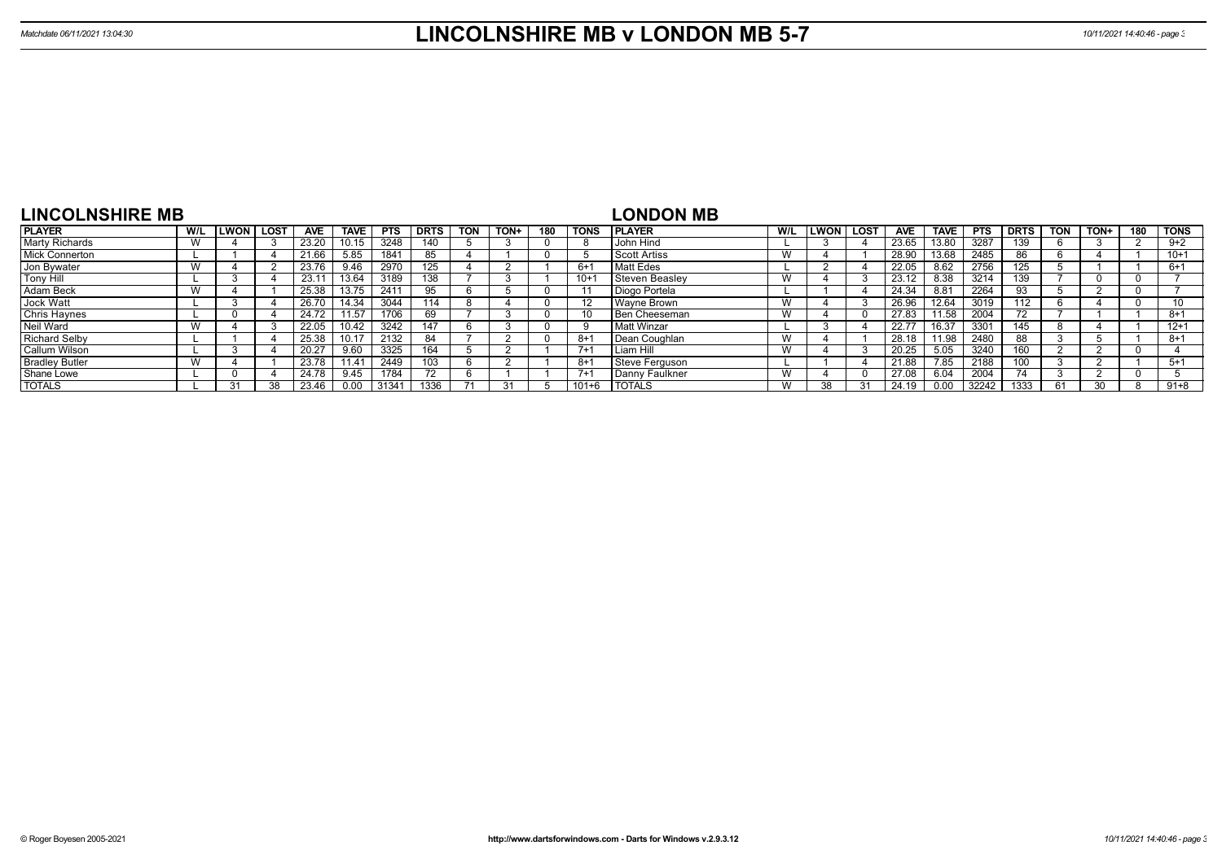| <b>LINCOLNSHIRE MB</b> |     |              |             |       |             |            |             |            |      |     |             | <b>LONDON MB</b> |     |      |        |            |             |            |             |            |                 |     |             |
|------------------------|-----|--------------|-------------|-------|-------------|------------|-------------|------------|------|-----|-------------|------------------|-----|------|--------|------------|-------------|------------|-------------|------------|-----------------|-----|-------------|
| <b>PLAYER</b>          | W/L | <b>ILWON</b> | <b>LOST</b> | AVE   | <b>TAVE</b> | <b>PTS</b> | <b>DRTS</b> | <b>TON</b> | TON+ | 180 | <b>TONS</b> | <b>PLAYER</b>    | W/L | LWON | l LOST | <b>AVE</b> | <b>TAVE</b> | <b>PTS</b> | <b>DRTS</b> | <b>TON</b> | TON+            | 180 | <b>TONS</b> |
| <b>Marty Richards</b>  |     |              |             | 23.20 |             | 3248       | 140         |            |      |     | 8           | John Hind        |     |      |        | 23.65      | 13.80       | 3287       | 39ء         |            |                 |     | $9+2$       |
| <b>Mick Connerton</b>  |     |              |             | 21.66 | 5.85        | 1841       | 85          |            |      |     |             | Scott Artiss     | W   |      |        | 28.90      | 13.68       | 2485       | 86          |            |                 |     | $10+1$      |
| Jon Bywater            |     |              |             | 23.76 | 9.46        | 2970       | 125         |            |      |     | $6+1$       | Matt Edes        |     |      |        | 22.05      | 8.62        | 2756       | ا 25        |            |                 |     | $6+1$       |
| <b>Tony Hill</b>       |     |              |             | 23.1  | 13.64       | 3189       | 138         |            |      |     | $10+$       | Steven Beasley   | W   |      |        | 23.12      | 8.38        | 3214       | 39          |            |                 |     |             |
| Adam Beck              |     |              |             | 25.38 |             | 241'       |             |            |      |     |             | Diogo Portela    |     |      |        | 24.34      | 8.81        | 2264       | 93          |            |                 |     |             |
| Jock Watt              |     |              |             | 26.70 | 14.34       | 3044       | 114         |            |      |     |             | Wavne Brown      | W   |      |        | 26.96      | 12.64       | 3019       | 112         |            |                 |     | 10          |
| Chris Haynes           |     |              |             | 24.72 | 11.57       | 1706       | 69          |            |      |     |             | Ben Cheeseman    | W   |      |        | 27.83      | 11.58       | 2004       |             |            |                 |     | $8 + 1$     |
| Neil Ward              |     |              |             | 22.05 | 0.42        | 3242       | 147         |            |      |     |             | Matt Winzar      |     |      |        | 22.77      | 16.37       | 3301       | 145         |            |                 |     | $12 + 1$    |
| <b>Richard Selby</b>   |     |              |             | 25.38 |             | 2132       | 84          |            |      |     | -8+1        | Dean Coughlan    | W   |      |        | 28.18      | 11.98       | 2480       | 88          |            |                 |     | $8 + 1$     |
| Callum Wilson          |     |              |             | 20.27 | 9.60        | 3325       | 164         |            |      |     | $7 + 1$     | Liam Hill        | W   |      |        | 20.25      | 5.05        | 3240       | 60          |            |                 |     |             |
| <b>Bradley Butler</b>  |     |              |             | 23.78 | 11.41       | 2449       | 103         |            |      |     | $8 + 1$     | Steve Ferguson   |     |      |        | 21.88      | 7.85        | 2188       | .00         |            |                 |     | $5+1$       |
| Shane Lowe             |     |              |             | 24.78 | 9.45        | 1784       |             |            |      |     | $7+1$       | Danny Faulkner   | W   |      |        | 27.08      | 6.04        | 2004       | 74          |            |                 |     |             |
| <b>TOTALS</b>          |     | 31           | 38          | 23.46 | 0.00        | 3134'      | 1336        |            |      |     | $101 + 6$   | <b>TOTALS</b>    | W   | 38   |        | 24.19      | 0.00        | 32242      | 1333        | 61         | 30 <sup>1</sup> |     | $91 + 8$    |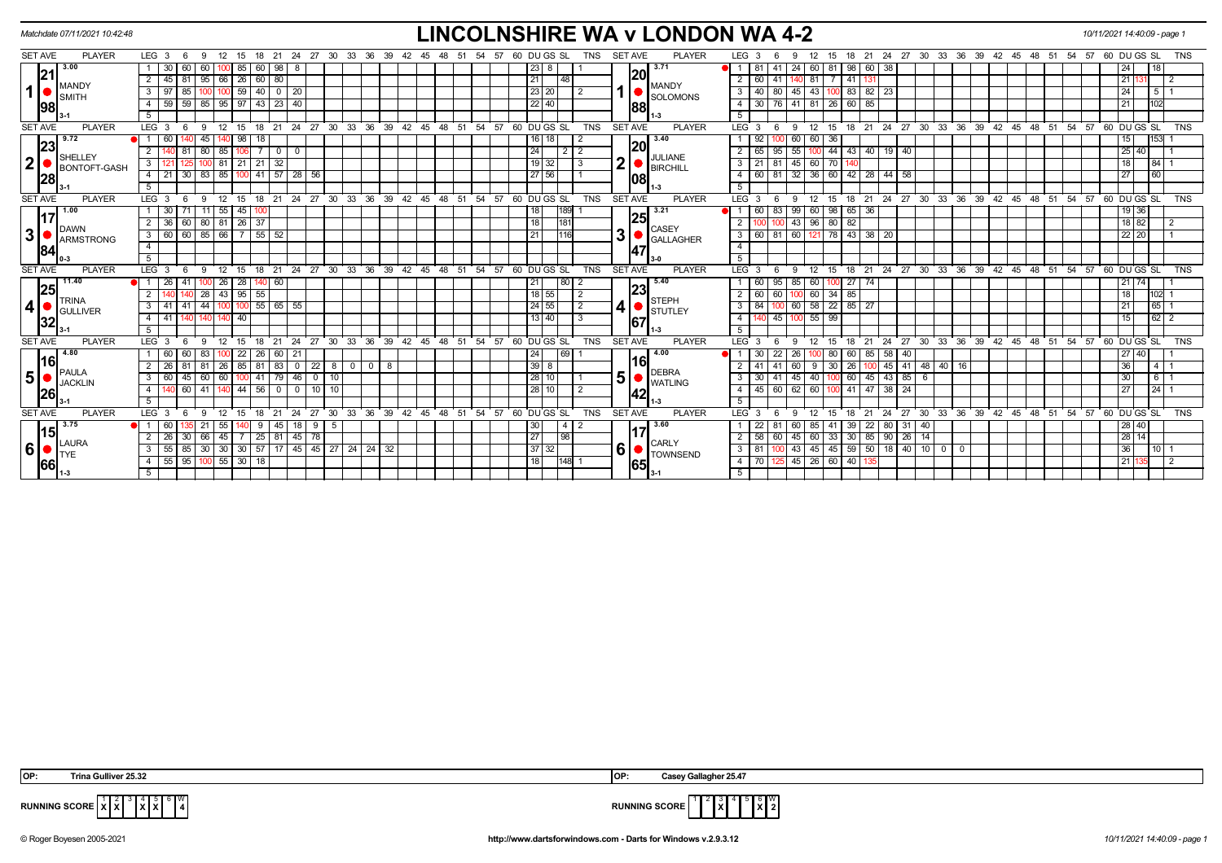|                |                | Matchdate 07/11/2021 10:42:48         |                                     |             |                    |                                     |             |                          |        |                          |                              |              |    |    |     |                 |    |    |          |                                                      |                 |             |                |            |                |     | <b>LINCOLNSHIRE WA v LONDON WA 4-2</b> |                |                  |              |                                            |                   |             |                         |     |                                      |                                                                      |    |          |      |               |            |    | 10/11/2021 14:40:09 - page 1                               |      |                            |            |
|----------------|----------------|---------------------------------------|-------------------------------------|-------------|--------------------|-------------------------------------|-------------|--------------------------|--------|--------------------------|------------------------------|--------------|----|----|-----|-----------------|----|----|----------|------------------------------------------------------|-----------------|-------------|----------------|------------|----------------|-----|----------------------------------------|----------------|------------------|--------------|--------------------------------------------|-------------------|-------------|-------------------------|-----|--------------------------------------|----------------------------------------------------------------------|----|----------|------|---------------|------------|----|------------------------------------------------------------|------|----------------------------|------------|
| <b>SET AVE</b> |                | <b>PLAYER</b>                         | LEG <sub>3</sub>                    |             |                    |                                     |             |                          | 21     | 24                       | 27                           | 30 33        |    | 36 | -39 | -42             |    |    | -54      | -57                                                  |                 | 60 DU GS SL |                | TNS        | <b>SET AVE</b> |     | <b>PLAYER</b>                          |                | LEG <sub>3</sub> |              |                                            |                   | 15          | 18<br>-21               |     |                                      | 24 27 30 33 36                                                       | 39 | - 42     | - 45 | 48            | -51<br>-54 | 57 | 60 DU GS SL                                                |      |                            | TNS        |
|                |                | 3.00                                  |                                     |             | 60                 |                                     | 85          | 60                       | 98     |                          |                              |              |    |    |     |                 |    |    |          |                                                      | $23 \mid 8$     |             |                |            |                |     | 3.71                                   |                |                  | 41           | -24                                        |                   | 81          | 98   60                 | -38 |                                      |                                                                      |    |          |      |               |            |    | 24                                                         | 18   |                            |            |
|                | 21             | MANDY                                 |                                     | 81<br>45    | 95                 | 66                                  |             | 26   60   80             |        |                          |                              |              |    |    |     |                 |    |    |          |                                                      | 21              | 48          |                |            |                | 20  | <b>MANDY</b>                           | $\overline{2}$ | 60               | 41           |                                            | 81 I              |             | 7 41 131                |     |                                      |                                                                      |    |          |      |               |            |    | 21                                                         |      | $\overline{2}$             |            |
| 1              |                | <b>SMITH</b>                          | 3                                   | 85          |                    |                                     |             | 59 40 0 20               |        |                          |                              |              |    |    |     |                 |    |    |          |                                                      | $\sqrt{23}$ 20  |             |                |            |                |     | SOLOMONS                               | 3              | 40               | 80           |                                            |                   |             | 45 43 100 83 82 23      |     |                                      |                                                                      |    |          |      |               |            |    | 24                                                         |      | 1511                       |            |
|                | 98             |                                       | 4                                   | $-59$<br>59 | 85                 |                                     |             | $95$   97   43   23   40 |        |                          |                              |              |    |    |     |                 |    |    |          |                                                      | $22$ 40         |             |                |            |                | 88  |                                        | 4              |                  |              | 76 41 81 26 60 85                          |                   |             |                         |     |                                      |                                                                      |    |          |      |               |            |    | 21                                                         | 102  |                            |            |
|                |                |                                       |                                     |             |                    |                                     |             |                          |        |                          |                              |              |    |    |     |                 |    |    |          |                                                      |                 |             |                |            |                |     | 11-3                                   | -5             |                  |              |                                            |                   |             |                         |     |                                      |                                                                      |    |          |      |               |            |    |                                                            |      |                            |            |
| <b>SET AVE</b> |                | <b>PLAYER</b>                         | LEG <sup>3</sup>                    | - 6         | -9                 | 12                                  | 15          |                          |        |                          |                              |              |    |    |     |                 |    |    |          | 18 21 24 27 30 33 36 39 42 45 48 51 54 57 60 DUGS SL |                 |             |                | TNS        | <b>SET AVE</b> |     | <b>PLAYER</b>                          |                | LEG 3            | - 6          | 9                                          |                   |             |                         |     |                                      |                                                                      |    |          |      |               |            |    | 12 15 18 21 24 27 30 33 36 39 42 45 48 51 54 57 60 DUGS SL |      |                            | TNS        |
|                |                | 9.72                                  |                                     | 60          | 45                 |                                     | $\sqrt{98}$ | 18                       |        |                          |                              |              |    |    |     |                 |    |    |          |                                                      | $16$   18       |             |                |            |                |     | 3.40                                   |                | 92               |              | 60 60 36                                   |                   |             |                         |     |                                      |                                                                      |    |          |      |               |            |    | 15                                                         |      | 53                         |            |
|                | 23             |                                       | 2                                   |             | $81 \overline{80}$ | 85                                  | l 106 I     |                          | $7$ 0  | $\overline{0}$           |                              |              |    |    |     |                 |    |    |          |                                                      | 24              |             | $\overline{2}$ |            |                | 20  |                                        |                |                  | 95           |                                            |                   |             | $55$ 100 44 43 40 19 40 |     |                                      |                                                                      |    |          |      |               |            |    | 25                                                         | 40   |                            |            |
| $\mathbf{2}$   |                | <b>SHELLEY</b><br><b>BONTOFT-GASH</b> | 3                                   |             |                    | 81                                  |             | $21 \mid 21 \mid$        | 32     |                          |                              |              |    |    |     |                 |    |    |          |                                                      | $19$ 32         |             | -3             |            | $\mathbf 2$    |     | JULIANE<br><b>BIRCHILL</b>             |                | 3   21   81      |              | 45 60 70                                   |                   |             |                         |     |                                      |                                                                      |    |          |      |               |            |    | 18                                                         |      | $84$ 1                     |            |
|                | 28             |                                       | $4$   21                            |             | 30   83            |                                     |             |                          |        |                          | 85   100   41   57   28   56 |              |    |    |     |                 |    |    |          |                                                      | 27 56           |             |                |            |                | 108 |                                        | $\overline{4}$ | 60               | 181          | $32$ 36 60 42 28 44 58                     |                   |             |                         |     |                                      |                                                                      |    |          |      |               |            |    | 27                                                         | 60   |                            |            |
|                |                |                                       | 5 <sup>5</sup>                      |             |                    |                                     |             |                          |        |                          |                              |              |    |    |     |                 |    |    |          |                                                      |                 |             |                |            |                |     |                                        | 5 <sup>5</sup> |                  |              |                                            |                   |             |                         |     |                                      |                                                                      |    |          |      |               |            |    |                                                            |      |                            |            |
| <b>SET AVE</b> |                | <b>PLAYER</b>                         | LEG <sub>3</sub>                    | - 6         | - 9                | $\overline{12}$                     | 15          |                          |        |                          |                              |              |    |    |     |                 |    |    |          | 18 21 24 27 30 33 36 39 42 45 48 51 54 57 60 DUGS SL |                 |             |                | TNS        | <b>SET AVE</b> |     | PLAYER                                 |                | LEG <sub>3</sub> | -6           | -9                                         |                   |             |                         |     |                                      |                                                                      |    |          |      |               |            |    | 12 15 18 21 24 27 30 33 36 39 42 45 48 51 54 57 60 DUGS SL |      |                            | <b>TNS</b> |
|                | 117            | 1.00                                  |                                     | -30         |                    | 71   11   55   45                   |             |                          |        |                          |                              |              |    |    |     |                 |    |    |          |                                                      |                 |             | 189            |            |                |     | 3.21                                   |                |                  |              | 83   99   60   98   65   36                |                   |             |                         |     |                                      |                                                                      |    |          |      |               |            |    | $19 \overline{36}$                                         |      |                            |            |
|                |                | DAWN                                  | $2 \mid 36$                         |             |                    | 60 80 81 26 37                      |             |                          |        |                          |                              |              |    |    |     |                 |    |    |          |                                                      | 18 I            |             | 181            |            |                | 25  |                                        |                |                  |              |                                            |                   | 43 96 80 82 |                         |     |                                      |                                                                      |    |          |      |               |            |    | 18 82                                                      |      | $\overline{2}$             |            |
| 3 <sup>1</sup> |                | <b>ARMSTRONG</b>                      | 3   60   60   85   66   7   55   52 |             |                    |                                     |             |                          |        |                          |                              |              |    |    |     |                 |    |    |          |                                                      | 21              |             | 116            |            | 3              |     | CASEY<br><b>GALLAGHER</b>              |                |                  |              | 3   60   81   60   121   78   43   38   20 |                   |             |                         |     |                                      |                                                                      |    |          |      |               |            |    | 22 20                                                      |      |                            |            |
|                | 84             |                                       | $\overline{4}$                      |             |                    |                                     |             |                          |        |                          |                              |              |    |    |     |                 |    |    |          |                                                      |                 |             |                |            |                | 47  |                                        | $\overline{4}$ |                  |              |                                            |                   |             |                         |     |                                      |                                                                      |    |          |      |               |            |    |                                                            |      |                            |            |
|                |                |                                       | 5                                   |             |                    |                                     |             |                          |        |                          |                              |              |    |    |     |                 |    |    |          |                                                      |                 |             |                |            |                |     |                                        |                |                  |              |                                            |                   |             |                         |     |                                      |                                                                      |    |          |      |               |            |    |                                                            |      |                            |            |
| <b>SET AVE</b> |                | <b>PLAYER</b>                         | LEG <sub>3</sub>                    |             | -9                 | 12                                  | 15          | ີ 18                     |        |                          |                              |              |    |    |     |                 |    |    |          | 21 24 27 30 33 36 39 42 45 48 51 54 57 60 DUGS SL    |                 |             |                | <b>TNS</b> | <b>SET AVE</b> |     | <b>PLAYER</b>                          |                | $LEG$ 3          |              | 9                                          | $^{\circ}$ 12     | ີ 15        |                         |     |                                      |                                                                      |    |          |      |               |            |    | 18 21 24 27 30 33 36 39 42 45 48 51 54 57 60 DUGS SL       |      |                            | <b>TNS</b> |
|                |                | 11.40                                 | 26                                  | 41          |                    | 26                                  | 28          |                          | 60     |                          |                              |              |    |    |     |                 |    |    |          |                                                      | 21              |             | 80             |            |                |     | 5.40                                   |                |                  | 95           | 85                                         | 60                |             | $27 \mid 74$            |     |                                      |                                                                      |    |          |      |               |            |    | 21 <sub>1</sub>                                            | 74 I |                            |            |
|                | 25             | <b>TRINA</b>                          |                                     |             | 28                 | 43                                  |             | $95 \mid 55$             |        |                          |                              |              |    |    |     |                 |    |    |          |                                                      | $18$ 55         |             |                |            |                | 23  | <b>STEPH</b>                           | 2              |                  | 60           |                                            | 60 l              | 34          | 85                      |     |                                      |                                                                      |    |          |      |               |            |    | 18                                                         |      | $102 - 1$                  |            |
| 4              |                | <b>GULLIVER</b>                       | 3<br>l 41                           | 41          | 44                 |                                     |             | $100 \ 55 \ 65 \ 55$     |        |                          |                              |              |    |    |     |                 |    |    |          |                                                      | 24 55           |             | $\overline{2}$ |            | 4              |     | <b>STUTLEY</b>                         | $\mathbf{3}$   | 84               |              |                                            |                   |             | 60 58 22 85 27          |     |                                      |                                                                      |    |          |      |               |            |    | 21                                                         |      | $65$ 1                     |            |
|                | 32             |                                       | 4 4 4 1                             |             |                    |                                     | 40          |                          |        |                          |                              |              |    |    |     |                 |    |    |          |                                                      |                 | 13   40     | $\mathcal{R}$  |            |                | 67  |                                        | 4              |                  | 45           |                                            | 55 99             |             |                         |     |                                      |                                                                      |    |          |      |               |            |    | 15                                                         |      | $62 \mid 2$                |            |
|                |                |                                       | 5                                   |             |                    |                                     |             |                          |        |                          |                              |              |    |    |     |                 |    |    |          |                                                      |                 |             |                |            |                |     |                                        | -5             |                  |              |                                            |                   |             |                         |     |                                      |                                                                      |    |          |      |               |            |    |                                                            |      |                            |            |
|                | <b>SET AVE</b> | <b>PLAYER</b>                         | LEG <sub>3</sub>                    |             |                    |                                     |             |                          | 21     | 24                       | 27                           | 30           | 33 | 36 | 39  | $^{\degree}$ 42 | 45 | 48 | 51<br>54 | 57                                                   |                 | 60 DU GS SL |                | <b>TNS</b> | <b>SET AVE</b> |     | <b>PLAYER</b>                          |                | LEG 3            |              |                                            |                   | 15          | 21                      | 24  | 27                                   | 30 33 36                                                             |    | 39 42 45 |      | $48 \quad 51$ | 54         | 57 | 60 DU GS SL                                                |      |                            | <b>TNS</b> |
|                |                | 4.80                                  |                                     | -60<br>60   | 83                 |                                     | $22 \mid$   | 26                       |        | 60   21                  |                              |              |    |    |     |                 |    |    |          |                                                      | 24              |             | 69             |            |                |     | 4.00                                   |                |                  | 22           | -26                                        | $00^{180}$        |             | 60 85 58                |     | 40                                   |                                                                      |    |          |      |               |            |    | 27 40                                                      |      |                            |            |
|                | 16             | <b>PAULA</b>                          |                                     | -26         |                    | 26                                  | 85          | 81                       | 83     | $\overline{\phantom{a}}$ |                              | $22 \quad 8$ |    |    |     |                 |    |    |          |                                                      | $39$ 8          |             |                |            |                | 161 | <b>DEBRA</b>                           |                |                  | 41           |                                            | $9 \mid 30$       |             |                         |     |                                      | 26   100   45   41   48   40   16                                    |    |          |      |               |            |    | 36                                                         |      | 4   1                      |            |
| 5              |                | <b>JACKLIN</b>                        | 60<br>3                             |             | $45 \mid 60$       |                                     | 60 100      |                          |        | 41 79 46                 |                              | $0$ 10       |    |    |     |                 |    |    |          |                                                      | 28 10           |             |                |            | 5              |     | <b>WATLING</b>                         | $\mathbf{3}$   |                  | 41           | 45 40                                      |                   | 100         |                         |     |                                      |                                                                      |    |          |      |               |            |    | 30                                                         |      | $6 \mid 1$                 |            |
|                | 26             |                                       | 4                                   |             | 60 I 41            |                                     | -44 I       |                          | $56$ 0 | $\circ$ 1                |                              | $10$ 10      |    |    |     |                 |    |    |          |                                                      | $\sqrt{28}$ 10  |             | 2              |            |                | 142 |                                        | 4              |                  | $45 \mid 60$ | 62 60 100                                  |                   |             | 41 47 38 24             |     |                                      |                                                                      |    |          |      |               |            |    | 27                                                         |      | $\sqrt{24}$ 1              |            |
|                |                |                                       |                                     |             |                    |                                     |             |                          |        |                          |                              |              |    |    |     |                 |    |    |          |                                                      |                 |             |                |            |                |     |                                        |                |                  |              |                                            |                   |             |                         |     |                                      |                                                                      |    |          |      |               |            |    |                                                            |      |                            |            |
|                | <b>SET AVE</b> | <b>PLAYER</b>                         | LEG <sub>3</sub>                    | - 6         | -9                 | 12                                  | 15          | 18                       | 21     | 24                       | 27                           | 30           |    |    |     |                 |    |    |          | 33 36 39 42 45 48 51 54 57 60 DUGS SL                |                 |             |                | <b>TNS</b> | <b>SET AVE</b> |     | <b>PLAYER</b>                          |                | $LEG^{\cdot}$ 3  | - 6          | 9                                          | $12 \overline{ }$ | 15          | 21<br>18                |     |                                      |                                                                      |    |          |      |               |            |    | 24 27 30 33 36 39 42 45 48 51 54 57 60 DUGS SL             |      |                            | <b>TNS</b> |
|                |                | 3.75                                  |                                     | -60         | 21                 | 55                                  |             | 9                        |        |                          | $45$ 18 9 5                  |              |    |    |     |                 |    |    |          |                                                      | 30 <sub>1</sub> |             | $\overline{4}$ |            |                |     | 3.60                                   |                |                  |              | 60                                         | 85 41             |             |                         |     | 39 22 80 31 40                       |                                                                      |    |          |      |               |            |    | 28 40                                                      |      |                            |            |
|                | 15             |                                       | $2 \mid 26$                         |             | $30 \mid 66$       | 45                                  |             |                          |        |                          | 7 25 81 45 78                |              |    |    |     |                 |    |    |          |                                                      | 27              | 98          |                |            |                |     | <b>CARLY</b>                           |                | $2 \mid 58 \mid$ | $\boxed{60}$ | 45 60 33                                   |                   |             |                         |     | $30 \mid 85 \mid 90 \mid 26 \mid 14$ |                                                                      |    |          |      |               |            |    | 28                                                         | 14   |                            |            |
| 6              |                | LAURA<br><b>TYE</b>                   | $3 \mid 55$                         |             |                    | 85 30 30 30 57 17 45 45 27 24 24 32 |             |                          |        |                          |                              |              |    |    |     |                 |    |    |          |                                                      | 37 32           |             |                |            | 6              |     | <b>TOWNSEND</b>                        |                | $3 \mid 81$      | 100          |                                            |                   |             |                         |     |                                      | $43 \mid 45 \mid 45 \mid 59 \mid 50 \mid 18 \mid 40 \mid 10 \mid 00$ |    |          |      |               |            |    | 36                                                         |      | $10$ 1                     |            |
|                | 66             |                                       | $4$ 55 95 100 55 30 18              |             |                    |                                     |             |                          |        |                          |                              |              |    |    |     |                 |    |    |          |                                                      | 18              |             | $ 148 $ 1      |            |                | 65  |                                        |                | 4 70             |              | 125 45 26 60 40 135                        |                   |             |                         |     |                                      |                                                                      |    |          |      |               |            |    | 21                                                         | 35.  | $\overline{\phantom{0}}$ 2 |            |
|                |                |                                       |                                     |             |                    |                                     |             |                          |        |                          |                              |              |    |    |     |                 |    |    |          |                                                      |                 |             |                |            |                |     |                                        |                |                  |              |                                            |                   |             |                         |     |                                      |                                                                      |    |          |      |               |            |    |                                                            |      |                            |            |
|                |                |                                       |                                     |             |                    |                                     |             |                          |        |                          |                              |              |    |    |     |                 |    |    |          |                                                      |                 |             |                |            |                |     |                                        |                |                  |              |                                            |                   |             |                         |     |                                      |                                                                      |    |          |      |               |            |    |                                                            |      |                            |            |

| IOP: | <b>25.22</b><br>ulliver<br>rın.<br>. .<br>20.OA | IOP: | .25.4.<br>T<br>-8114<br>.aner<br><br> |
|------|-------------------------------------------------|------|---------------------------------------|

**RUNNING SCORE**  $\begin{bmatrix} 1 & 2 & 3 & 4 & 5 & 6 & 6 \ X & X & X & X & 4 & 5 & 6 \end{bmatrix}$ 

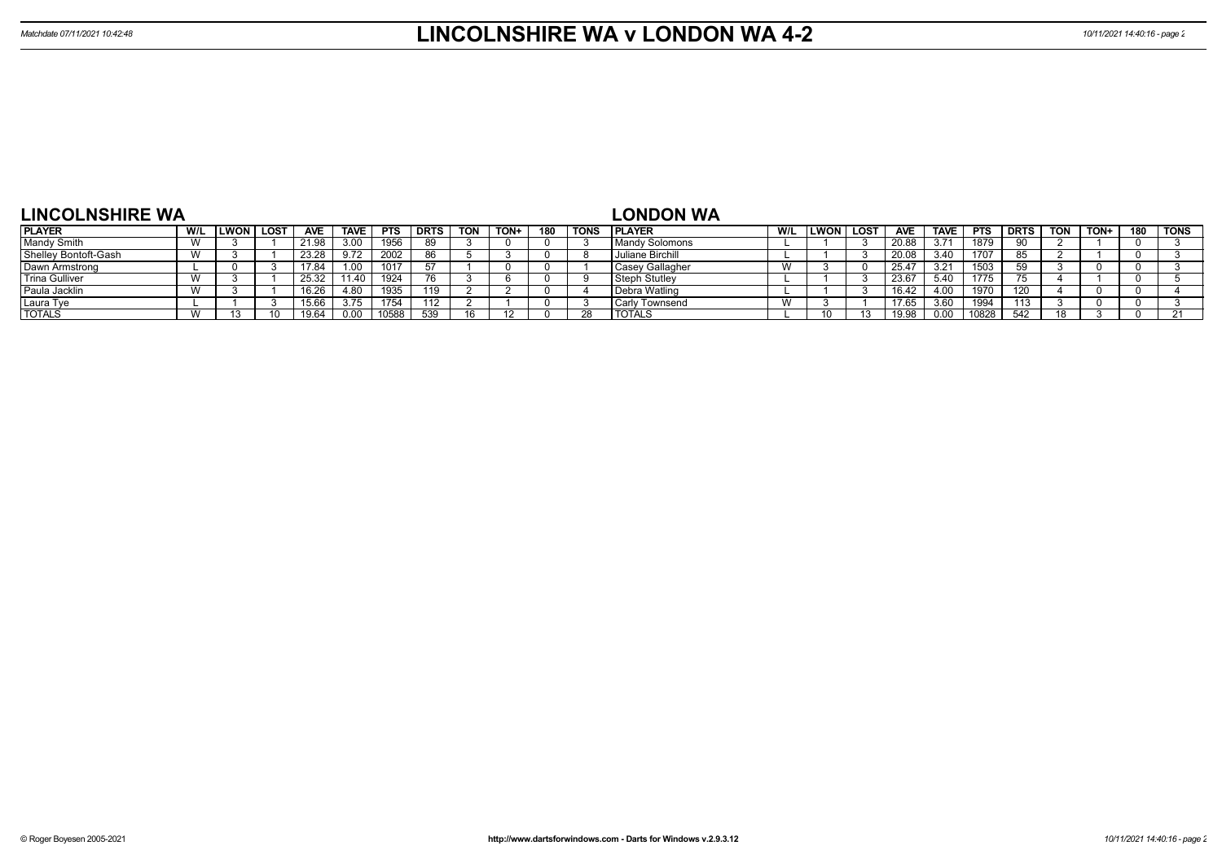| <b>LINCOLNSHIRE WA</b> |     |             |             |            |             |             |      |            |      |     |             | <b>LONDON WA</b>        |          |      |            |             |            |             |            |      |     |             |
|------------------------|-----|-------------|-------------|------------|-------------|-------------|------|------------|------|-----|-------------|-------------------------|----------|------|------------|-------------|------------|-------------|------------|------|-----|-------------|
| <b>PLAYER</b>          | W/L | <b>LWON</b> | <b>LOST</b> | <b>AVE</b> | <b>TAVE</b> | <b>PTS</b>  | DRTS | <b>TON</b> | TON+ | 180 | <b>TONS</b> | <b>IPLAYER</b>          | W/L LWON | LOST | <b>AVE</b> | <b>TAVE</b> | <b>PTS</b> | <b>DRTS</b> | <b>TON</b> | TON+ | 180 | <b>TONS</b> |
| Mandy Smith            |     |             |             | 21.98      | 3.00        | 1956        | 89   |            |      |     |             | Mandy Solomons          |          |      |            | 3.71        | 1879       |             |            |      |     |             |
| Shelley Bontoft-Gash   |     |             |             | 23.28      | 9.72        | 2002        | 86   |            |      |     |             | <b>Juliane Birchill</b> |          |      |            | 3.40        | 1707       |             |            |      |     |             |
| Dawn Armstrong         |     |             |             | 17.84      | 1.00        | 1017        |      |            |      |     |             | Casey Gallagher         |          |      | 25.4       | 3.21        | 1503       | 50          |            |      |     |             |
| <b>Trina Gulliver</b>  |     |             |             | 25.32      |             | 1924        |      |            |      |     |             | Steph Stutley           |          |      | 23.6       | -5.40       | 1775       |             |            |      |     |             |
| Paula Jacklin          |     |             |             | 16.26      |             | <b>1935</b> | 119  |            |      |     |             | Debra Watling           |          |      | 16.42      | 4.00        | 1970       |             |            |      |     |             |
| Laura Tye              |     |             |             | 5.66       | 3.75        | 1754        |      |            |      |     |             | Carly Townsend          |          |      | 17.65      | 3.60        | 1994       | 113         |            |      |     |             |
| <b>TOTALS</b>          |     |             |             |            | 0.00        | 10588       | 539  |            |      |     |             | <b>TOTALS</b>           |          |      |            | 0.00        | 10828      | 542         |            |      |     | 21          |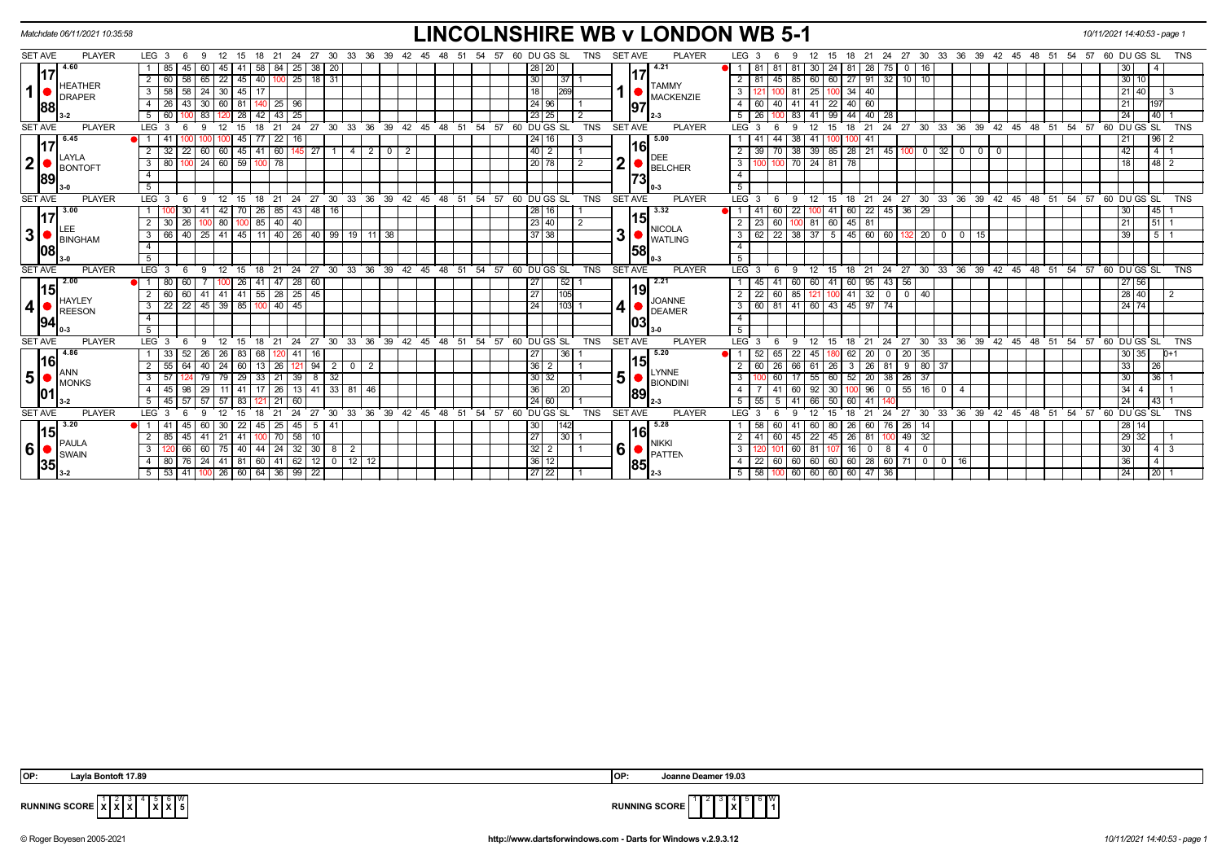|                | Matchdate 06/11/2021 10:35:58 |                                                                                                        |                                              | <b>LINCOLNSHIRE WB v LONDON WB 5-1</b> |                                 |                                                                                                       | 10/11/2021 14:40:53 - page 1                 |
|----------------|-------------------------------|--------------------------------------------------------------------------------------------------------|----------------------------------------------|----------------------------------------|---------------------------------|-------------------------------------------------------------------------------------------------------|----------------------------------------------|
| <b>SET AVE</b> | <b>PLAYER</b>                 | LEG <sub>3</sub><br>27<br>- 30<br>33<br>36<br>-39<br>24                                                | -42<br>-54<br>45                             | 60 DU GS SL<br>TNS                     | <b>PLAYER</b><br><b>SET AVE</b> | 36<br>LEG <sub>3</sub><br>27<br>30<br>33<br>39<br>42<br>- 45<br>48<br>-51<br>-54<br>24                | 60 DU GS SL<br>57<br>TNS                     |
|                | 4.60<br>17                    | 58<br>25<br>38<br>85<br>84<br>20                                                                       |                                              | 28 20                                  | 4.21                            | 24<br>28<br>75<br>81<br>$\mathbf 0$                                                                   | 30                                           |
|                | <b>HEATHER</b>                | 40 100<br>$ 25 $ 18 31<br>22<br>  45  <br>58<br>65<br>60                                               |                                              | 30<br>37                               | <b>TAMMY</b>                    | 27   91   32   10   10  <br>60 60<br>45<br>85<br>$\overline{2}$                                       | 30   10                                      |
| $\mathbf{1}$   | <b>DRAPER</b>                 | 30   45 <br>58<br>58 I<br>24<br>3<br>17                                                                |                                              | 18 I                                   | <b>MACKENZIE</b>                | 25 <sub>1</sub><br>34   40<br>3<br>-81<br>100                                                         | 21 40<br>$\vert$ 3                           |
|                | 88                            | 81 <br>140 25 96<br>26<br>43 I<br>30<br>60                                                             |                                              | 24 96                                  | 97                              | 40 60<br>41 22<br>40<br>-41<br>-4                                                                     | 21<br>197                                    |
|                |                               | 25<br>28<br>43<br>42                                                                                   |                                              | 23 25                                  |                                 | 99<br>44 40 28<br>83                                                                                  | 40 <br>24                                    |
| <b>SET AVE</b> | <b>PLAYER</b>                 | LEG <sub>3</sub><br>24<br>$^{\circ}$ 27<br>30<br>-9<br>12<br>15<br>21                                  | 33 36 39 42 45 48 51 54 57                   | 60 DUGS SL<br><b>TNS</b>               | <b>SET AVE</b><br><b>PLAYER</b> | 24 27 30 33 36 39 42 45 48 51 54 57 60 DUGS SL<br>$LEG^3$ 3<br>21<br>15<br>18<br>$\Omega$             | <b>TNS</b>                                   |
|                | $17^{\frac{6.45}{6.45}}$      | 22 16<br>77 I<br>41<br>45 I                                                                            |                                              | 24 16                                  | 5.00                            | 44<br>$38 \mid 41 \mid$<br>100 41<br>100                                                              | $96$ 2<br>21                                 |
|                | LAYLA                         | 60<br>32<br>45<br>145 27<br>$2 \mid 0$<br>22<br>60<br>60<br>41<br>$-4$                                 | $\overline{2}$                               | $40$   2                               | 161<br>DEE                      | $39$ $85$<br>28 21 45 100 0<br>$32$ 0<br>$0$ 0<br>70                                                  | 42<br>$4 \mid 1$                             |
| $\mathbf{2}$   | <b>BONTOFT</b>                | $60$   59  <br>80<br>$100$ 24<br>$100$ 78<br>$\mathbf{3}$                                              |                                              | 20 78                                  | <b>BELCHER</b>                  | 70 24 81<br>78<br>$\overline{\mathbf{3}}$<br>100                                                      | $48 \mid 2$<br>18                            |
|                | 89                            | $\overline{4}$                                                                                         |                                              |                                        | 73                              | $\overline{4}$                                                                                        |                                              |
|                |                               | 5 <sup>5</sup>                                                                                         |                                              |                                        |                                 | 5 <sup>5</sup>                                                                                        |                                              |
| <b>SET AVE</b> | <b>PLAYER</b>                 | LEG <sub>3</sub><br>24 27 30 33 36 39 42 45 48 51 54 57 60 DUGS SL<br>21<br>-6<br>12<br>15<br>-9<br>18 |                                              | TNS                                    | <b>PLAYER</b><br><b>SET AVE</b> | 18 21 24 27 30 33 36 39 42 45 48 51 54 57 60 DUGS SL<br>$LEG$ 3<br>12<br>15<br>9                      | <b>TNS</b>                                   |
|                | 13.00<br>17                   | 48 16<br>30 I<br>42<br>26<br>85<br>$\vert 43 \vert$                                                    |                                              | 28 16                                  | 3.32                            | 60   22   45   36   29  <br>60<br>22<br>$\sqrt{41}$                                                   | 45<br>30                                     |
|                | LEE                           | 80<br>85 40 40<br>26                                                                                   |                                              | 23 40                                  | 1151<br><b>NICOLA</b>           | 60<br>81 60<br>$45 \mid 81$                                                                           | 21<br>5111                                   |
| 3 <sup>1</sup> | <b>BINGHAM</b>                | 40   25   41   45   11   40   26   40   99   19   11   38<br>66<br>3                                   |                                              | 37 38                                  | 3<br><b>WATLING</b>             | $22$ 38 37 5 45 60 60<br>$132$ 20 0 0<br>3<br>15                                                      | 39<br>$5 \mid 1$                             |
|                | 08                            |                                                                                                        |                                              |                                        | 58                              |                                                                                                       |                                              |
|                |                               |                                                                                                        |                                              |                                        |                                 |                                                                                                       |                                              |
| <b>SET AVE</b> | <b>PLAYER</b>                 | LEG <sub>3</sub><br>30<br>33<br>21<br>24<br>27<br>18                                                   | $36 \quad 39 \quad 42 \quad 45$<br>່ 48 ່ 51 | TNS<br>54 57<br>60 DUGS SL             | <b>SET AVE</b><br>PLAYER        | 27 30 33 36 39 42 45 48 51 54 57 60 DUGS SL<br>$LEG$ 3<br>18<br>21<br>24<br>15                        | <b>TNS</b>                                   |
|                | 2.00                          | 47<br>$\sqrt{28}$<br>60                                                                                |                                              | 27<br>52                               | 2.21                            | $60$ 95 43<br>56<br>-41                                                                               | 27 56                                        |
|                | 15 <br><b>HAYLEY</b>          | $141$ 55 28 25 45<br>41<br>60<br>60 I<br>41                                                            |                                              | 27<br>105                              | 19<br><b>JOANNE</b>             | $41$ 32 0 0 40<br>85 121<br>$\overline{2}$<br>22<br>60<br>100                                         | 28 40<br>$\overline{2}$                      |
| 4              | <b>REESON</b>                 | 22   45   39   85<br>$100$ 40 45<br>$3 \mid 22$                                                        |                                              | $103 - 1$<br>24                        | 4<br><b>DEAMER</b>              | 3 60 81 41 60 43 45 97 74                                                                             | 24 74                                        |
|                | 94                            | 4                                                                                                      |                                              |                                        | 103                             | -4                                                                                                    |                                              |
|                |                               |                                                                                                        |                                              |                                        |                                 |                                                                                                       |                                              |
| <b>SET AVE</b> | <b>PLAYER</b>                 | LEG <sub>3</sub><br>$24$ 27 30<br>33 36 39 42 45<br>12<br>15<br>18<br>21<br><b>6</b><br>$\mathbf{q}$   | 48 51 54 57                                  | 60 DU GS SL<br><b>TNS</b>              | <b>SET AVE</b><br><b>PLAYER</b> | $LEG^3$ 3<br>24 27 30 33 36 39 42 45<br>12<br>15<br>18<br>21<br>9                                     | 48 51 54 57 60 DU GS SL<br>TNS               |
|                | 4.86<br> 16                   | 26   83   68  <br>-33<br>52 I<br>-26<br>$120$ 41 16                                                    |                                              | 27  <br>  36                           | 5.20                            | 62   20   0   20   35  <br>52<br>65<br>22 I<br>45 I<br>180                                            | 30 35<br>$D+1$                               |
|                |                               | 55<br>24<br>$94$ 2<br>40<br>$13 \mid 26$<br>-64 I<br>  60  <br>$0$   2<br>121                          |                                              | $36$   2                               | 15<br>LYNNE                     | 26<br>66 61 26<br>3   26   81<br>9   80   37                                                          | 33<br> 26                                    |
| 5              | <b>IMONKS</b>                 | 33   21<br> 39 <br>$8 \mid 32$<br>57<br>79<br>29<br>$3^{\circ}$<br>24 79                               |                                              | 30 32                                  | 5<br><b>BIONDINI</b>            | $55$ 60<br>$52$   20   38<br>$\mathbf{3}$<br>60<br>$26 \mid 37$                                       | 30<br>$ 36 $ 1                               |
|                | 01                            | 41   17   26   13   41   33   81   46<br>$4 \mid 45$<br>98<br>29<br>11                                 |                                              | 36 <sup>1</sup><br>  20                | 89                              | $55$   16   0<br>$92 \overline{30}$<br>$\vert 96 \vert 0 \vert$<br>$\overline{4}$<br>41<br>60 I<br>-4 | 34<br>$\vert$ 1                              |
|                |                               | $57$ 57<br>$\overline{21}$<br>$5 \mid 45 \mid$<br>57<br>l 83 I<br>60                                   |                                              | 24 60                                  |                                 | 5   55<br>5<br>50<br>60   41  <br>41<br>140                                                           | 24<br>$-43$ 1                                |
| <b>SET AVE</b> | <b>PLAYER</b>                 | LEG <sub>3</sub><br>30<br>່ 33<br>36<br>24<br>27                                                       | 39 42 45<br>48<br>51                         | 54 57 60 DU GS SL<br><b>TNS</b>        | <b>SET AVE</b><br><b>PLAYER</b> | LEG <sup>3</sup><br>27<br>30 33 36 39 42 45<br>48 51<br>54 57<br>21<br>24                             | 60 DU GS SL<br><b>TNS</b>                    |
|                | 3.20<br> 15                   | 25   45   5   41<br>45 I<br>60<br>30<br>-22<br>45 I<br>l 41                                            |                                              | 30 <br>142                             | 5.28<br>l16l                    | 26 60 76 26 14<br>60 80<br>60                                                                         | $\overline{28}$<br>14 <sup>1</sup>           |
|                | $\blacksquare$ PAULA          | 100 70 58 10<br>2   85<br>45   41<br>21<br>l 41 l                                                      |                                              | 27 <br> 30                             | <b>NIKKI</b>                    | $149$ 32<br>60<br>45 22 45 26 81<br>2<br>100 <sup>1</sup>                                             | 29<br>32 <sup>1</sup><br>- 1                 |
| 6              | SWAIN                         | 75<br>44 24 32 30 8<br>3<br>66 I<br>60<br> 40 <br>$\overline{2}$                                       |                                              | $32 \mid 2$                            | 6<br><b>PATTEN</b>              | $\mathbf{3}$<br>60 81<br>$16$ 0 8<br>4   0<br>107                                                     | 30<br>$\begin{array}{c c} 4 & 3 \end{array}$ |
|                | 35                            | 76   24   41   81   60   41   62   12   0   12   12  <br>$\overline{4}$<br>80                          |                                              | 36 12                                  | 85                              | $\sqrt{22}$<br>  60   60   60   60   28   60   71   0   0   16                                        | 36<br>$\vert 4 \vert$                        |
|                |                               | $5 \mid 53 \mid$<br>41   100   26   60   64   36   99   22                                             |                                              | 27 22                                  |                                 | $5 \mid 58$<br>60 60 60 60 47 36                                                                      | 24<br>$\sqrt{20}$                            |

| IOP: | $\sim$<br>. 89<br>avla<br>Bontoft<br>. | IOP: | 19.03<br>. ⊔eamer<br>anne<br> |
|------|----------------------------------------|------|-------------------------------|
|      |                                        |      |                               |

**RUNNING SCORE**  $\begin{bmatrix} 1 & 2 & 3 & 4 & 5 & 6 & W \\ X & X & X & X & 5 & \end{bmatrix}$